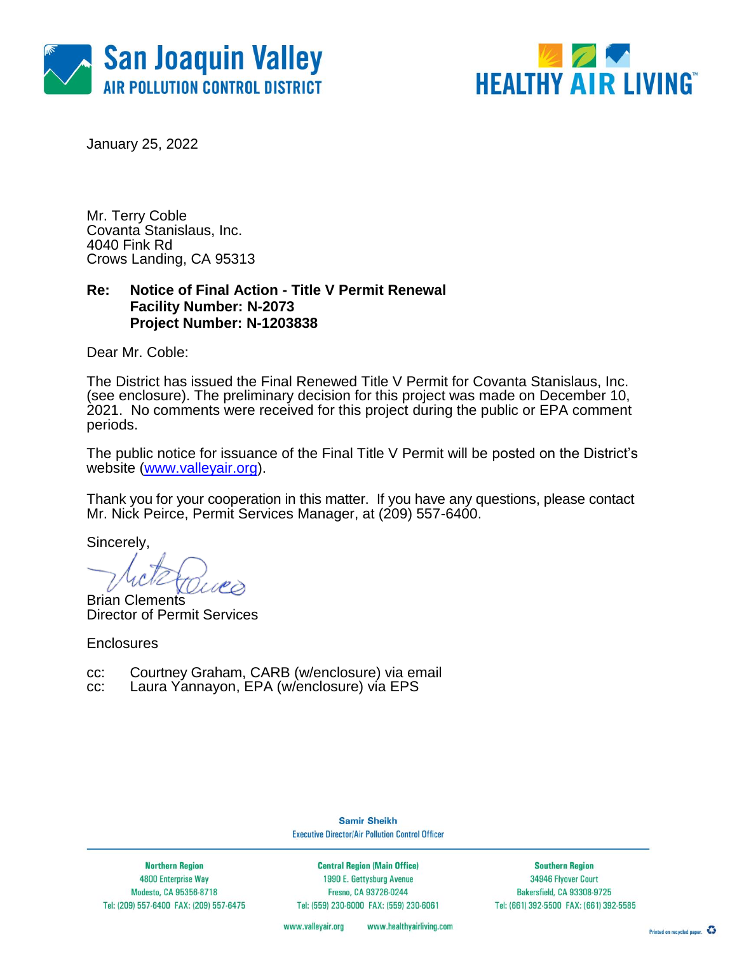



January 25, 2022

Mr. Terry Coble Covanta Stanislaus, Inc. 4040 Fink Rd Crows Landing, CA 95313

### **Re: Notice of Final Action - Title V Permit Renewal Facility Number: N-2073 Project Number: N-1203838**

Dear Mr. Coble:

The District has issued the Final Renewed Title V Permit for Covanta Stanislaus, Inc. (see enclosure). The preliminary decision for this project was made on December 10, 2021. No comments were received for this project during the public or EPA comment periods.

The public notice for issuance of the Final Title V Permit will be posted on the District's website [\(www.valleyair.org\)](http://www.valleyair.org/).

Thank you for your cooperation in this matter. If you have any questions, please contact Mr. Nick Peirce, Permit Services Manager, at (209) 557-6400.

Sincerely,

Brian Clements Director of Permit Services

**Enclosures** 

cc: Courtney Graham, CARB (w/enclosure) via email

cc: Laura Yannayon, EPA (w/enclosure) via EPS

**Samir Sheikh Executive Director/Air Pollution Control Officer** 

**Northern Region** 4800 Enterprise Way Modesto, CA 95356-8718 Tel: (209) 557-6400 FAX: (209) 557-6475

**Central Region (Main Office)** 1990 E. Gettysburg Avenue Fresno, CA 93726-0244 Tel: (559) 230-6000 FAX: (559) 230-6061

**Southern Region** 34946 Flyover Court Bakersfield, CA 93308-9725 Tel: (661) 392-5500 FAX: (661) 392-5585

www.valleyair.org www.healthyairliving.com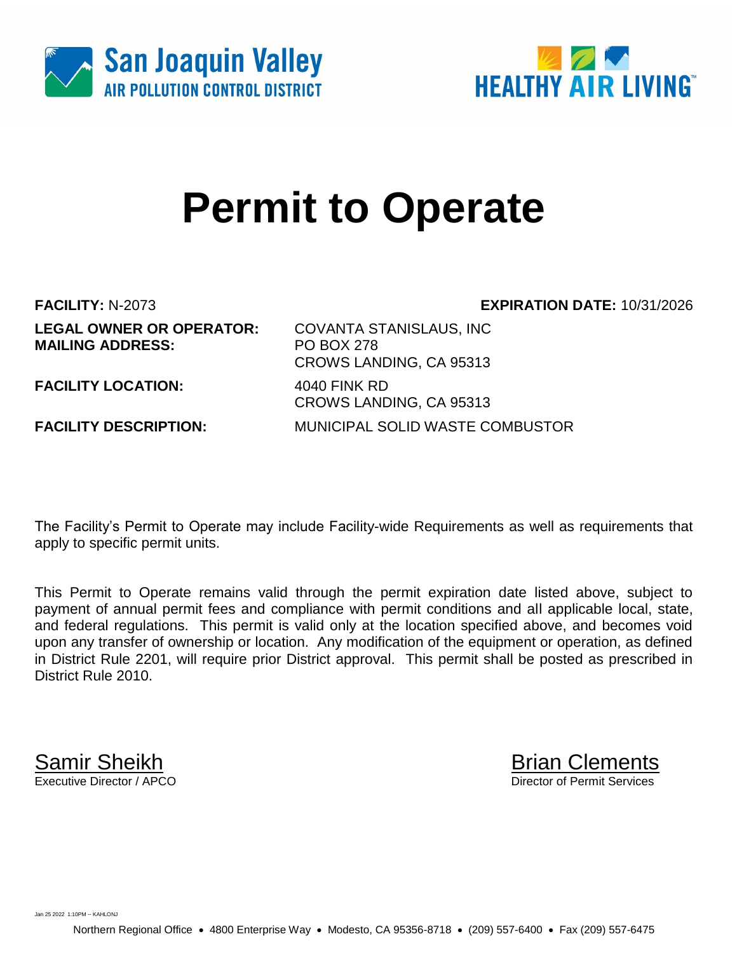



# **Permit to Operate**

**LEGAL OWNER OR OPERATOR:** COVANTA STANISLAUS, INC **MAILING ADDRESS:** PO BOX 278

**FACILITY:** N-2073 **EXPIRATION DATE:** 10/31/2026

**FACILITY LOCATION:** 4040 FINK RD

CROWS LANDING, CA 95313 CROWS LANDING, CA 95313 **FACILITY DESCRIPTION:** MUNICIPAL SOLID WASTE COMBUSTOR

The Facility's Permit to Operate may include Facility-wide Requirements as well as requirements that apply to specific permit units.

This Permit to Operate remains valid through the permit expiration date listed above, subject to payment of annual permit fees and compliance with permit conditions and all applicable local, state, and federal regulations. This permit is valid only at the location specified above, and becomes void upon any transfer of ownership or location. Any modification of the equipment or operation, as defined in District Rule 2201, will require prior District approval. This permit shall be posted as prescribed in District Rule 2010.

**Samir Sheikh**<br>Executive Director / APCO

Director of Permit Services

Jan 25 2022 1:10PM -- KAHLONJ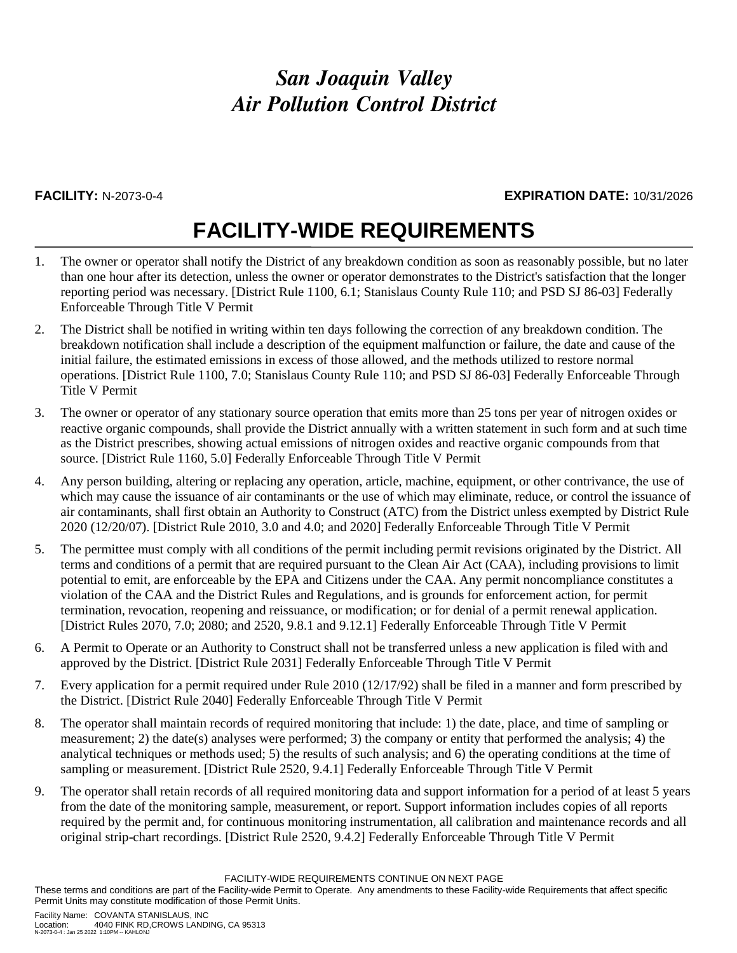### *San Joaquin Valley Air Pollution Control District*

### **FACILITY:** N-2073-0-4 **EXPIRATION DATE:** 10/31/2026

# **FACILITY-WIDE REQUIREMENTS**

- 1. The owner or operator shall notify the District of any breakdown condition as soon as reasonably possible, but no later than one hour after its detection, unless the owner or operator demonstrates to the District's satisfaction that the longer reporting period was necessary. [District Rule 1100, 6.1; Stanislaus County Rule 110; and PSD SJ 86-03] Federally Enforceable Through Title V Permit
- 2. The District shall be notified in writing within ten days following the correction of any breakdown condition. The breakdown notification shall include a description of the equipment malfunction or failure, the date and cause of the initial failure, the estimated emissions in excess of those allowed, and the methods utilized to restore normal operations. [District Rule 1100, 7.0; Stanislaus County Rule 110; and PSD SJ 86-03] Federally Enforceable Through Title V Permit
- 3. The owner or operator of any stationary source operation that emits more than 25 tons per year of nitrogen oxides or reactive organic compounds, shall provide the District annually with a written statement in such form and at such time as the District prescribes, showing actual emissions of nitrogen oxides and reactive organic compounds from that source. [District Rule 1160, 5.0] Federally Enforceable Through Title V Permit
- 4. Any person building, altering or replacing any operation, article, machine, equipment, or other contrivance, the use of which may cause the issuance of air contaminants or the use of which may eliminate, reduce, or control the issuance of air contaminants, shall first obtain an Authority to Construct (ATC) from the District unless exempted by District Rule 2020 (12/20/07). [District Rule 2010, 3.0 and 4.0; and 2020] Federally Enforceable Through Title V Permit
- 5. The permittee must comply with all conditions of the permit including permit revisions originated by the District. All terms and conditions of a permit that are required pursuant to the Clean Air Act (CAA), including provisions to limit potential to emit, are enforceable by the EPA and Citizens under the CAA. Any permit noncompliance constitutes a violation of the CAA and the District Rules and Regulations, and is grounds for enforcement action, for permit termination, revocation, reopening and reissuance, or modification; or for denial of a permit renewal application. [District Rules 2070, 7.0; 2080; and 2520, 9.8.1 and 9.12.1] Federally Enforceable Through Title V Permit
- 6. A Permit to Operate or an Authority to Construct shall not be transferred unless a new application is filed with and approved by the District. [District Rule 2031] Federally Enforceable Through Title V Permit
- 7. Every application for a permit required under Rule 2010 (12/17/92) shall be filed in a manner and form prescribed by the District. [District Rule 2040] Federally Enforceable Through Title V Permit
- 8. The operator shall maintain records of required monitoring that include: 1) the date, place, and time of sampling or measurement; 2) the date(s) analyses were performed; 3) the company or entity that performed the analysis; 4) the analytical techniques or methods used; 5) the results of such analysis; and 6) the operating conditions at the time of sampling or measurement. [District Rule 2520, 9.4.1] Federally Enforceable Through Title V Permit
- 9. The operator shall retain records of all required monitoring data and support information for a period of at least 5 years from the date of the monitoring sample, measurement, or report. Support information includes copies of all reports required by the permit and, for continuous monitoring instrumentation, all calibration and maintenance records and all original strip-chart recordings. [District Rule 2520, 9.4.2] Federally Enforceable Through Title V Permit

FACILITY-WIDE REQUIREMENTS CONTINUE ON NEXT PAGE

These terms and conditions are part of the Facility-wide Permit to Operate. Any amendments to these Facility-wide Requirements that affect specific Permit Units may constitute modification of those Permit Units.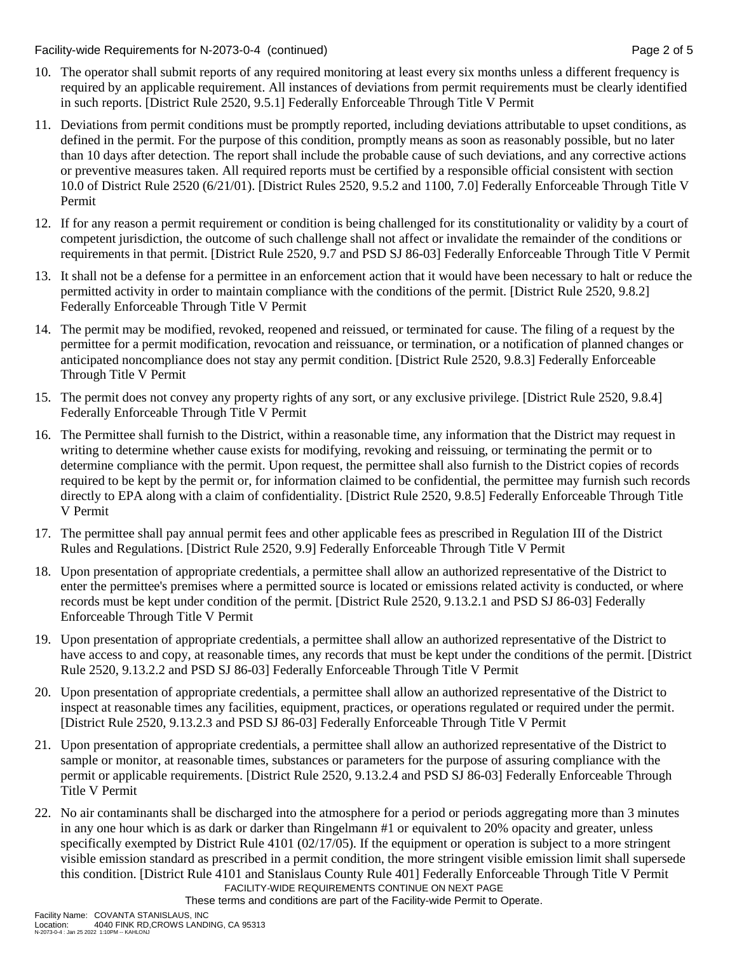Facility-wide Requirements for N-2073-0-4 (continued) Page 2 of 5

- 10. The operator shall submit reports of any required monitoring at least every six months unless a different frequency is required by an applicable requirement. All instances of deviations from permit requirements must be clearly identified in such reports. [District Rule 2520, 9.5.1] Federally Enforceable Through Title V Permit
- 11. Deviations from permit conditions must be promptly reported, including deviations attributable to upset conditions, as defined in the permit. For the purpose of this condition, promptly means as soon as reasonably possible, but no later than 10 days after detection. The report shall include the probable cause of such deviations, and any corrective actions or preventive measures taken. All required reports must be certified by a responsible official consistent with section 10.0 of District Rule 2520 (6/21/01). [District Rules 2520, 9.5.2 and 1100, 7.0] Federally Enforceable Through Title V Permit
- 12. If for any reason a permit requirement or condition is being challenged for its constitutionality or validity by a court of competent jurisdiction, the outcome of such challenge shall not affect or invalidate the remainder of the conditions or requirements in that permit. [District Rule 2520, 9.7 and PSD SJ 86-03] Federally Enforceable Through Title V Permit
- 13. It shall not be a defense for a permittee in an enforcement action that it would have been necessary to halt or reduce the permitted activity in order to maintain compliance with the conditions of the permit. [District Rule 2520, 9.8.2] Federally Enforceable Through Title V Permit
- 14. The permit may be modified, revoked, reopened and reissued, or terminated for cause. The filing of a request by the permittee for a permit modification, revocation and reissuance, or termination, or a notification of planned changes or anticipated noncompliance does not stay any permit condition. [District Rule 2520, 9.8.3] Federally Enforceable Through Title V Permit
- 15. The permit does not convey any property rights of any sort, or any exclusive privilege. [District Rule 2520, 9.8.4] Federally Enforceable Through Title V Permit
- 16. The Permittee shall furnish to the District, within a reasonable time, any information that the District may request in writing to determine whether cause exists for modifying, revoking and reissuing, or terminating the permit or to determine compliance with the permit. Upon request, the permittee shall also furnish to the District copies of records required to be kept by the permit or, for information claimed to be confidential, the permittee may furnish such records directly to EPA along with a claim of confidentiality. [District Rule 2520, 9.8.5] Federally Enforceable Through Title V Permit
- 17. The permittee shall pay annual permit fees and other applicable fees as prescribed in Regulation III of the District Rules and Regulations. [District Rule 2520, 9.9] Federally Enforceable Through Title V Permit
- 18. Upon presentation of appropriate credentials, a permittee shall allow an authorized representative of the District to enter the permittee's premises where a permitted source is located or emissions related activity is conducted, or where records must be kept under condition of the permit. [District Rule 2520, 9.13.2.1 and PSD SJ 86-03] Federally Enforceable Through Title V Permit
- 19. Upon presentation of appropriate credentials, a permittee shall allow an authorized representative of the District to have access to and copy, at reasonable times, any records that must be kept under the conditions of the permit. [District Rule 2520, 9.13.2.2 and PSD SJ 86-03] Federally Enforceable Through Title V Permit
- 20. Upon presentation of appropriate credentials, a permittee shall allow an authorized representative of the District to inspect at reasonable times any facilities, equipment, practices, or operations regulated or required under the permit. [District Rule 2520, 9.13.2.3 and PSD SJ 86-03] Federally Enforceable Through Title V Permit
- 21. Upon presentation of appropriate credentials, a permittee shall allow an authorized representative of the District to sample or monitor, at reasonable times, substances or parameters for the purpose of assuring compliance with the permit or applicable requirements. [District Rule 2520, 9.13.2.4 and PSD SJ 86-03] Federally Enforceable Through Title V Permit
- FACILITY-WIDE REQUIREMENTS CONTINUE ON NEXT PAGE 22. No air contaminants shall be discharged into the atmosphere for a period or periods aggregating more than 3 minutes in any one hour which is as dark or darker than Ringelmann #1 or equivalent to 20% opacity and greater, unless specifically exempted by District Rule 4101 (02/17/05). If the equipment or operation is subject to a more stringent visible emission standard as prescribed in a permit condition, the more stringent visible emission limit shall supersede this condition. [District Rule 4101 and Stanislaus County Rule 401] Federally Enforceable Through Title V Permit

These terms and conditions are part of the Facility-wide Permit to Operate.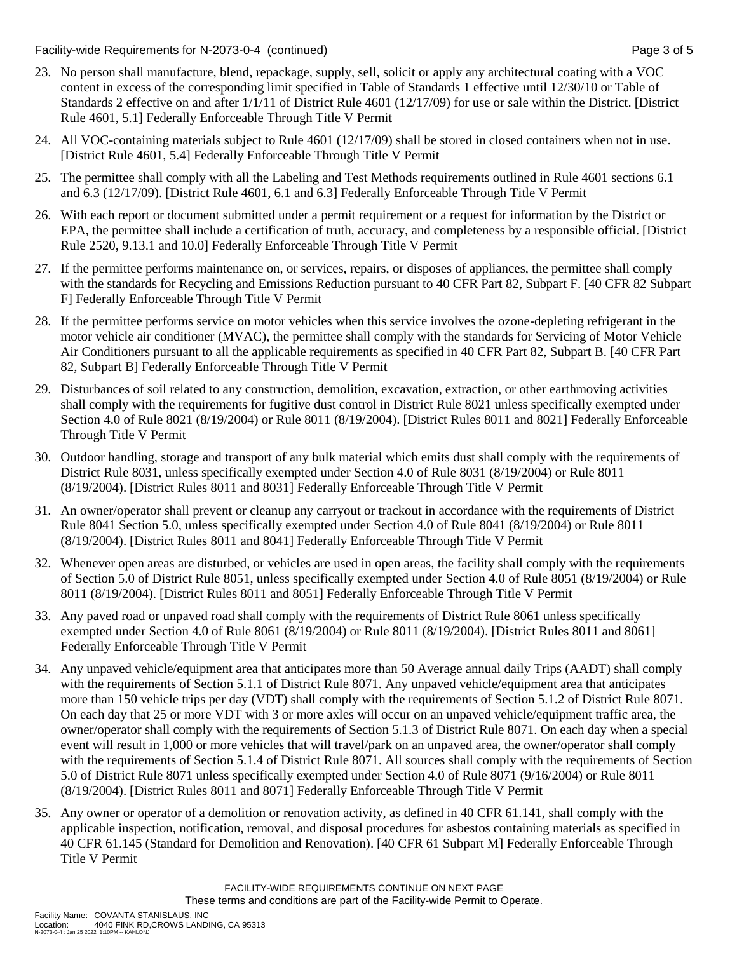Facility-wide Requirements for N-2073-0-4 (continued) Page 3 of 5

- 23. No person shall manufacture, blend, repackage, supply, sell, solicit or apply any architectural coating with a VOC content in excess of the corresponding limit specified in Table of Standards 1 effective until 12/30/10 or Table of Standards 2 effective on and after 1/1/11 of District Rule 4601 (12/17/09) for use or sale within the District. [District Rule 4601, 5.1] Federally Enforceable Through Title V Permit
- 24. All VOC-containing materials subject to Rule 4601 (12/17/09) shall be stored in closed containers when not in use. [District Rule 4601, 5.4] Federally Enforceable Through Title V Permit
- 25. The permittee shall comply with all the Labeling and Test Methods requirements outlined in Rule 4601 sections 6.1 and 6.3 (12/17/09). [District Rule 4601, 6.1 and 6.3] Federally Enforceable Through Title V Permit
- 26. With each report or document submitted under a permit requirement or a request for information by the District or EPA, the permittee shall include a certification of truth, accuracy, and completeness by a responsible official. [District Rule 2520, 9.13.1 and 10.0] Federally Enforceable Through Title V Permit
- 27. If the permittee performs maintenance on, or services, repairs, or disposes of appliances, the permittee shall comply with the standards for Recycling and Emissions Reduction pursuant to 40 CFR Part 82, Subpart F. [40 CFR 82 Subpart F] Federally Enforceable Through Title V Permit
- 28. If the permittee performs service on motor vehicles when this service involves the ozone-depleting refrigerant in the motor vehicle air conditioner (MVAC), the permittee shall comply with the standards for Servicing of Motor Vehicle Air Conditioners pursuant to all the applicable requirements as specified in 40 CFR Part 82, Subpart B. [40 CFR Part 82, Subpart B] Federally Enforceable Through Title V Permit
- 29. Disturbances of soil related to any construction, demolition, excavation, extraction, or other earthmoving activities shall comply with the requirements for fugitive dust control in District Rule 8021 unless specifically exempted under Section 4.0 of Rule 8021 (8/19/2004) or Rule 8011 (8/19/2004). [District Rules 8011 and 8021] Federally Enforceable Through Title V Permit
- 30. Outdoor handling, storage and transport of any bulk material which emits dust shall comply with the requirements of District Rule 8031, unless specifically exempted under Section 4.0 of Rule 8031 (8/19/2004) or Rule 8011 (8/19/2004). [District Rules 8011 and 8031] Federally Enforceable Through Title V Permit
- 31. An owner/operator shall prevent or cleanup any carryout or trackout in accordance with the requirements of District Rule 8041 Section 5.0, unless specifically exempted under Section 4.0 of Rule 8041 (8/19/2004) or Rule 8011 (8/19/2004). [District Rules 8011 and 8041] Federally Enforceable Through Title V Permit
- 32. Whenever open areas are disturbed, or vehicles are used in open areas, the facility shall comply with the requirements of Section 5.0 of District Rule 8051, unless specifically exempted under Section 4.0 of Rule 8051 (8/19/2004) or Rule 8011 (8/19/2004). [District Rules 8011 and 8051] Federally Enforceable Through Title V Permit
- 33. Any paved road or unpaved road shall comply with the requirements of District Rule 8061 unless specifically exempted under Section 4.0 of Rule 8061 (8/19/2004) or Rule 8011 (8/19/2004). [District Rules 8011 and 8061] Federally Enforceable Through Title V Permit
- 34. Any unpaved vehicle/equipment area that anticipates more than 50 Average annual daily Trips (AADT) shall comply with the requirements of Section 5.1.1 of District Rule 8071. Any unpaved vehicle/equipment area that anticipates more than 150 vehicle trips per day (VDT) shall comply with the requirements of Section 5.1.2 of District Rule 8071. On each day that 25 or more VDT with 3 or more axles will occur on an unpaved vehicle/equipment traffic area, the owner/operator shall comply with the requirements of Section 5.1.3 of District Rule 8071. On each day when a special event will result in 1,000 or more vehicles that will travel/park on an unpaved area, the owner/operator shall comply with the requirements of Section 5.1.4 of District Rule 8071. All sources shall comply with the requirements of Section 5.0 of District Rule 8071 unless specifically exempted under Section 4.0 of Rule 8071 (9/16/2004) or Rule 8011 (8/19/2004). [District Rules 8011 and 8071] Federally Enforceable Through Title V Permit
- 35. Any owner or operator of a demolition or renovation activity, as defined in 40 CFR 61.141, shall comply with the applicable inspection, notification, removal, and disposal procedures for asbestos containing materials as specified in 40 CFR 61.145 (Standard for Demolition and Renovation). [40 CFR 61 Subpart M] Federally Enforceable Through Title V Permit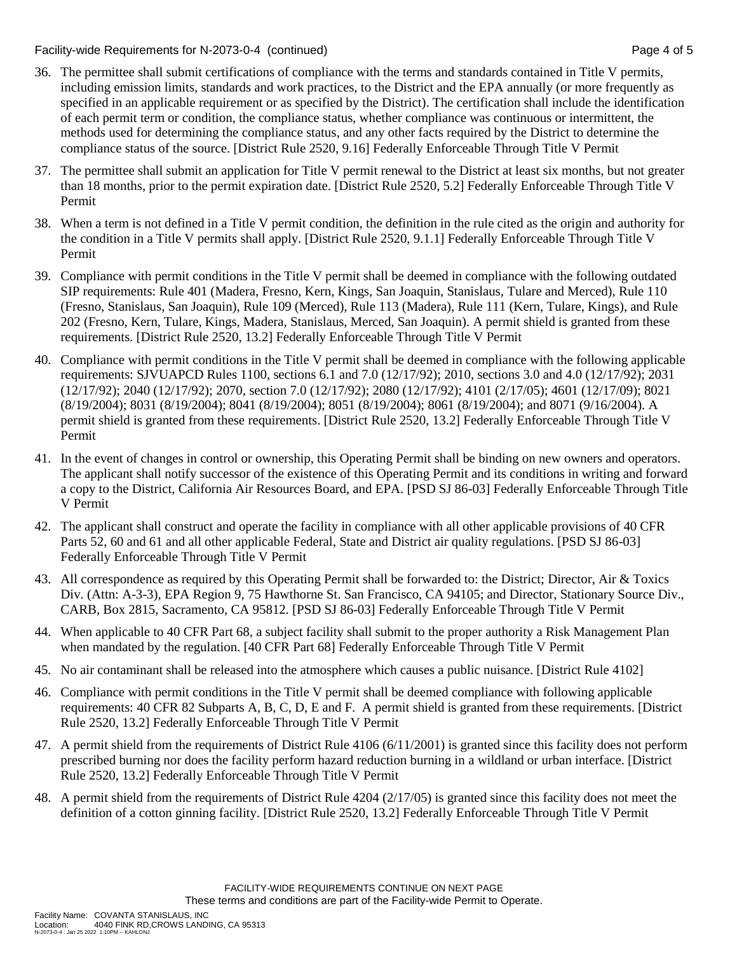Facility-wide Requirements for N-2073-0-4 (continued) Page 4 of 5

- 36. The permittee shall submit certifications of compliance with the terms and standards contained in Title V permits, including emission limits, standards and work practices, to the District and the EPA annually (or more frequently as specified in an applicable requirement or as specified by the District). The certification shall include the identification of each permit term or condition, the compliance status, whether compliance was continuous or intermittent, the methods used for determining the compliance status, and any other facts required by the District to determine the compliance status of the source. [District Rule 2520, 9.16] Federally Enforceable Through Title V Permit
- 37. The permittee shall submit an application for Title V permit renewal to the District at least six months, but not greater than 18 months, prior to the permit expiration date. [District Rule 2520, 5.2] Federally Enforceable Through Title V Permit
- 38. When a term is not defined in a Title V permit condition, the definition in the rule cited as the origin and authority for the condition in a Title V permits shall apply. [District Rule 2520, 9.1.1] Federally Enforceable Through Title V Permit
- 39. Compliance with permit conditions in the Title V permit shall be deemed in compliance with the following outdated SIP requirements: Rule 401 (Madera, Fresno, Kern, Kings, San Joaquin, Stanislaus, Tulare and Merced), Rule 110 (Fresno, Stanislaus, San Joaquin), Rule 109 (Merced), Rule 113 (Madera), Rule 111 (Kern, Tulare, Kings), and Rule 202 (Fresno, Kern, Tulare, Kings, Madera, Stanislaus, Merced, San Joaquin). A permit shield is granted from these requirements. [District Rule 2520, 13.2] Federally Enforceable Through Title V Permit
- 40. Compliance with permit conditions in the Title V permit shall be deemed in compliance with the following applicable requirements: SJVUAPCD Rules 1100, sections 6.1 and 7.0 (12/17/92); 2010, sections 3.0 and 4.0 (12/17/92); 2031 (12/17/92); 2040 (12/17/92); 2070, section 7.0 (12/17/92); 2080 (12/17/92); 4101 (2/17/05); 4601 (12/17/09); 8021 (8/19/2004); 8031 (8/19/2004); 8041 (8/19/2004); 8051 (8/19/2004); 8061 (8/19/2004); and 8071 (9/16/2004). A permit shield is granted from these requirements. [District Rule 2520, 13.2] Federally Enforceable Through Title V Permit
- 41. In the event of changes in control or ownership, this Operating Permit shall be binding on new owners and operators. The applicant shall notify successor of the existence of this Operating Permit and its conditions in writing and forward a copy to the District, California Air Resources Board, and EPA. [PSD SJ 86-03] Federally Enforceable Through Title V Permit
- 42. The applicant shall construct and operate the facility in compliance with all other applicable provisions of 40 CFR Parts 52, 60 and 61 and all other applicable Federal, State and District air quality regulations. [PSD SJ 86-03] Federally Enforceable Through Title V Permit
- 43. All correspondence as required by this Operating Permit shall be forwarded to: the District; Director, Air & Toxics Div. (Attn: A-3-3), EPA Region 9, 75 Hawthorne St. San Francisco, CA 94105; and Director, Stationary Source Div., CARB, Box 2815, Sacramento, CA 95812. [PSD SJ 86-03] Federally Enforceable Through Title V Permit
- 44. When applicable to 40 CFR Part 68, a subject facility shall submit to the proper authority a Risk Management Plan when mandated by the regulation. [40 CFR Part 68] Federally Enforceable Through Title V Permit
- 45. No air contaminant shall be released into the atmosphere which causes a public nuisance. [District Rule 4102]
- 46. Compliance with permit conditions in the Title V permit shall be deemed compliance with following applicable requirements: 40 CFR 82 Subparts A, B, C, D, E and F. A permit shield is granted from these requirements. [District Rule 2520, 13.2] Federally Enforceable Through Title V Permit
- 47. A permit shield from the requirements of District Rule 4106 (6/11/2001) is granted since this facility does not perform prescribed burning nor does the facility perform hazard reduction burning in a wildland or urban interface. [District Rule 2520, 13.2] Federally Enforceable Through Title V Permit
- 48. A permit shield from the requirements of District Rule 4204 (2/17/05) is granted since this facility does not meet the definition of a cotton ginning facility. [District Rule 2520, 13.2] Federally Enforceable Through Title V Permit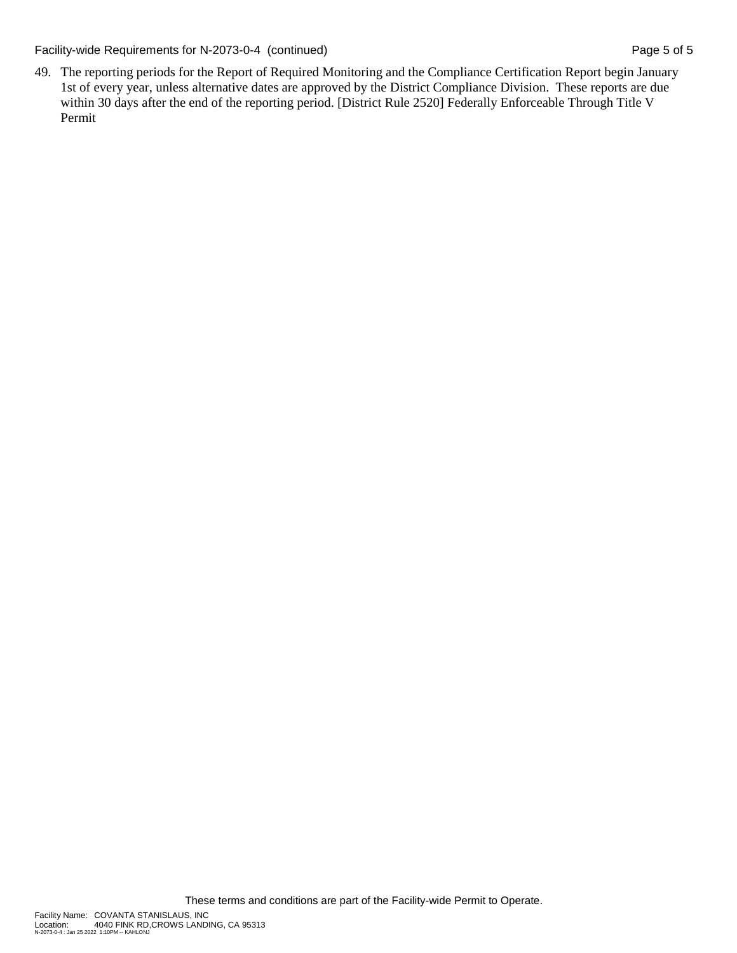Facility-wide Requirements for N-2073-0-4 (continued) Page 5 of 5

49. The reporting periods for the Report of Required Monitoring and the Compliance Certification Report begin January 1st of every year, unless alternative dates are approved by the District Compliance Division. These reports are due within 30 days after the end of the reporting period. [District Rule 2520] Federally Enforceable Through Title V Permit

N-2073-0-4 : Jan 25 2022 1:10PM -- KAHLONJ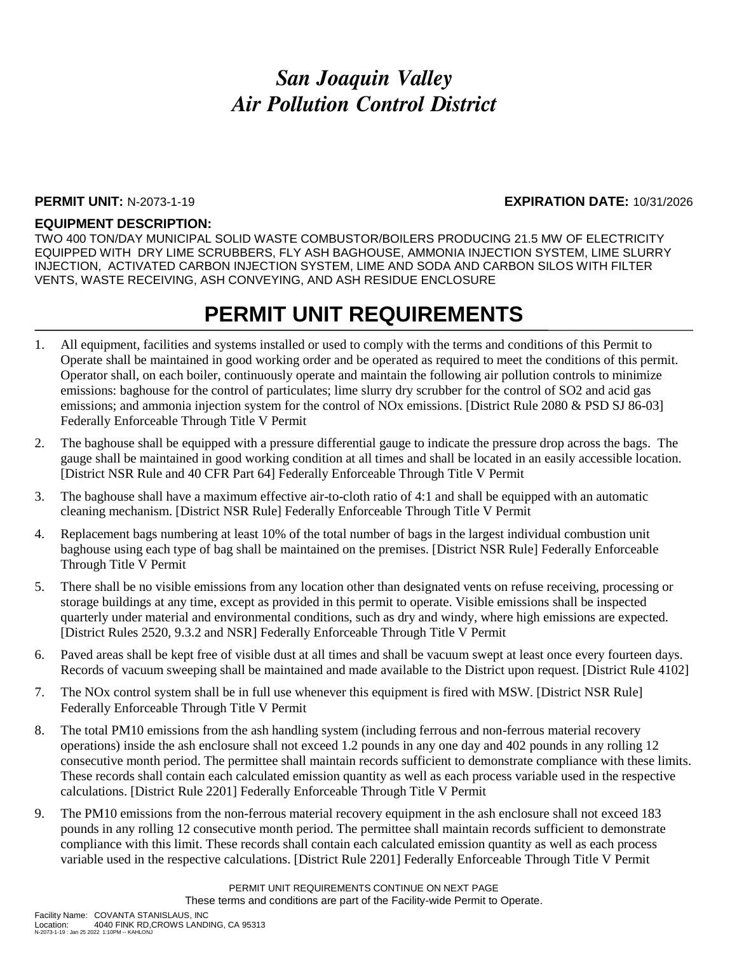### *San Joaquin Valley Air Pollution Control District*

#### **PERMIT UNIT:** N-2073-1-19 **EXPIRATION DATE:** 10/31/2026

#### **EQUIPMENT DESCRIPTION:**

TWO 400 TON/DAY MUNICIPAL SOLID WASTE COMBUSTOR/BOILERS PRODUCING 21.5 MW OF ELECTRICITY EQUIPPED WITH DRY LIME SCRUBBERS, FLY ASH BAGHOUSE, AMMONIA INJECTION SYSTEM, LIME SLURRY INJECTION, ACTIVATED CARBON INJECTION SYSTEM, LIME AND SODA AND CARBON SILOS WITH FILTER VENTS, WASTE RECEIVING, ASH CONVEYING, AND ASH RESIDUE ENCLOSURE

### **PERMIT UNIT REQUIREMENTS**

- 1. All equipment, facilities and systems installed or used to comply with the terms and conditions of this Permit to Operate shall be maintained in good working order and be operated as required to meet the conditions of this permit. Operator shall, on each boiler, continuously operate and maintain the following air pollution controls to minimize emissions: baghouse for the control of particulates; lime slurry dry scrubber for the control of SO2 and acid gas emissions; and ammonia injection system for the control of NOx emissions. [District Rule 2080 & PSD SJ 86-03] Federally Enforceable Through Title V Permit
- 2. The baghouse shall be equipped with a pressure differential gauge to indicate the pressure drop across the bags. The gauge shall be maintained in good working condition at all times and shall be located in an easily accessible location. [District NSR Rule and 40 CFR Part 64] Federally Enforceable Through Title V Permit
- 3. The baghouse shall have a maximum effective air-to-cloth ratio of 4:1 and shall be equipped with an automatic cleaning mechanism. [District NSR Rule] Federally Enforceable Through Title V Permit
- 4. Replacement bags numbering at least 10% of the total number of bags in the largest individual combustion unit baghouse using each type of bag shall be maintained on the premises. [District NSR Rule] Federally Enforceable Through Title V Permit
- 5. There shall be no visible emissions from any location other than designated vents on refuse receiving, processing or storage buildings at any time, except as provided in this permit to operate. Visible emissions shall be inspected quarterly under material and environmental conditions, such as dry and windy, where high emissions are expected. [District Rules 2520, 9.3.2 and NSR] Federally Enforceable Through Title V Permit
- 6. Paved areas shall be kept free of visible dust at all times and shall be vacuum swept at least once every fourteen days. Records of vacuum sweeping shall be maintained and made available to the District upon request. [District Rule 4102]
- 7. The NOx control system shall be in full use whenever this equipment is fired with MSW. [District NSR Rule] Federally Enforceable Through Title V Permit
- 8. The total PM10 emissions from the ash handling system (including ferrous and non-ferrous material recovery operations) inside the ash enclosure shall not exceed 1.2 pounds in any one day and 402 pounds in any rolling 12 consecutive month period. The permittee shall maintain records sufficient to demonstrate compliance with these limits. These records shall contain each calculated emission quantity as well as each process variable used in the respective calculations. [District Rule 2201] Federally Enforceable Through Title V Permit
- 9. The PM10 emissions from the non-ferrous material recovery equipment in the ash enclosure shall not exceed 183 pounds in any rolling 12 consecutive month period. The permittee shall maintain records sufficient to demonstrate compliance with this limit. These records shall contain each calculated emission quantity as well as each process variable used in the respective calculations. [District Rule 2201] Federally Enforceable Through Title V Permit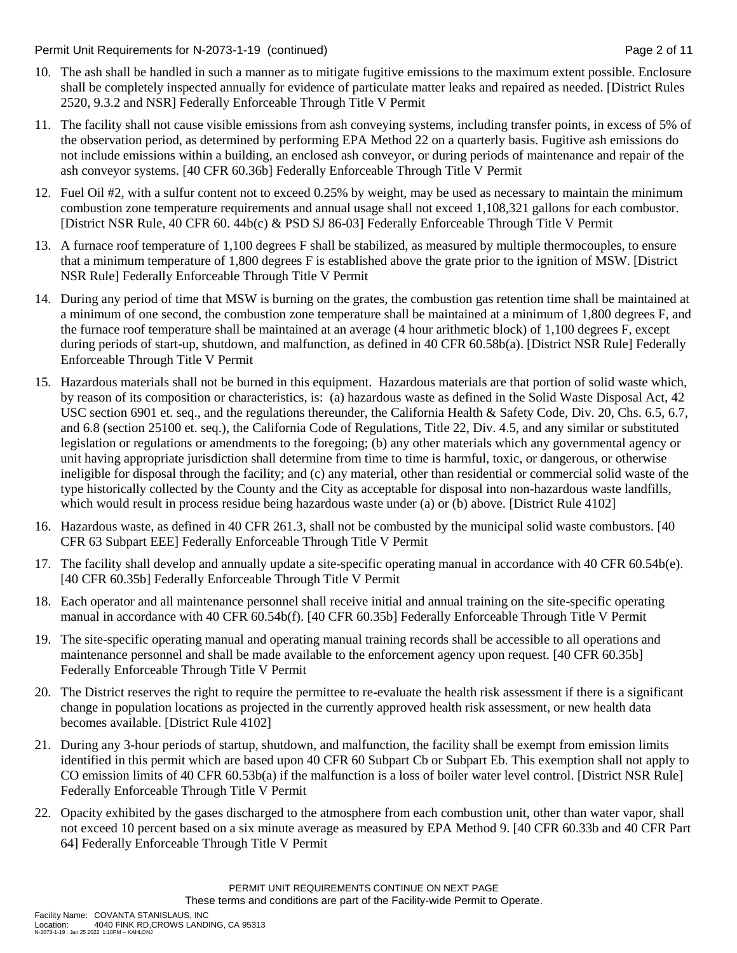Permit Unit Requirements for N-2073-1-19 (continued) Page 2 of 11

- 10. The ash shall be handled in such a manner as to mitigate fugitive emissions to the maximum extent possible. Enclosure shall be completely inspected annually for evidence of particulate matter leaks and repaired as needed. [District Rules 2520, 9.3.2 and NSR] Federally Enforceable Through Title V Permit
- 11. The facility shall not cause visible emissions from ash conveying systems, including transfer points, in excess of 5% of the observation period, as determined by performing EPA Method 22 on a quarterly basis. Fugitive ash emissions do not include emissions within a building, an enclosed ash conveyor, or during periods of maintenance and repair of the ash conveyor systems. [40 CFR 60.36b] Federally Enforceable Through Title V Permit
- 12. Fuel Oil #2, with a sulfur content not to exceed 0.25% by weight, may be used as necessary to maintain the minimum combustion zone temperature requirements and annual usage shall not exceed 1,108,321 gallons for each combustor. [District NSR Rule, 40 CFR 60. 44b(c) & PSD SJ 86-03] Federally Enforceable Through Title V Permit
- 13. A furnace roof temperature of 1,100 degrees F shall be stabilized, as measured by multiple thermocouples, to ensure that a minimum temperature of 1,800 degrees F is established above the grate prior to the ignition of MSW. [District NSR Rule] Federally Enforceable Through Title V Permit
- 14. During any period of time that MSW is burning on the grates, the combustion gas retention time shall be maintained at a minimum of one second, the combustion zone temperature shall be maintained at a minimum of 1,800 degrees F, and the furnace roof temperature shall be maintained at an average (4 hour arithmetic block) of 1,100 degrees F, except during periods of start-up, shutdown, and malfunction, as defined in 40 CFR 60.58b(a). [District NSR Rule] Federally Enforceable Through Title V Permit
- 15. Hazardous materials shall not be burned in this equipment. Hazardous materials are that portion of solid waste which, by reason of its composition or characteristics, is: (a) hazardous waste as defined in the Solid Waste Disposal Act, 42 USC section 6901 et. seq., and the regulations thereunder, the California Health & Safety Code, Div. 20, Chs. 6.5, 6.7, and 6.8 (section 25100 et. seq.), the California Code of Regulations, Title 22, Div. 4.5, and any similar or substituted legislation or regulations or amendments to the foregoing; (b) any other materials which any governmental agency or unit having appropriate jurisdiction shall determine from time to time is harmful, toxic, or dangerous, or otherwise ineligible for disposal through the facility; and (c) any material, other than residential or commercial solid waste of the type historically collected by the County and the City as acceptable for disposal into non-hazardous waste landfills, which would result in process residue being hazardous waste under (a) or (b) above. [District Rule 4102]
- 16. Hazardous waste, as defined in 40 CFR 261.3, shall not be combusted by the municipal solid waste combustors. [40 CFR 63 Subpart EEE] Federally Enforceable Through Title V Permit
- 17. The facility shall develop and annually update a site-specific operating manual in accordance with 40 CFR 60.54b(e). [40 CFR 60.35b] Federally Enforceable Through Title V Permit
- 18. Each operator and all maintenance personnel shall receive initial and annual training on the site-specific operating manual in accordance with 40 CFR 60.54b(f). [40 CFR 60.35b] Federally Enforceable Through Title V Permit
- 19. The site-specific operating manual and operating manual training records shall be accessible to all operations and maintenance personnel and shall be made available to the enforcement agency upon request. [40 CFR 60.35b] Federally Enforceable Through Title V Permit
- 20. The District reserves the right to require the permittee to re-evaluate the health risk assessment if there is a significant change in population locations as projected in the currently approved health risk assessment, or new health data becomes available. [District Rule 4102]
- 21. During any 3-hour periods of startup, shutdown, and malfunction, the facility shall be exempt from emission limits identified in this permit which are based upon 40 CFR 60 Subpart Cb or Subpart Eb. This exemption shall not apply to CO emission limits of 40 CFR 60.53b(a) if the malfunction is a loss of boiler water level control. [District NSR Rule] Federally Enforceable Through Title V Permit
- 22. Opacity exhibited by the gases discharged to the atmosphere from each combustion unit, other than water vapor, shall not exceed 10 percent based on a six minute average as measured by EPA Method 9. [40 CFR 60.33b and 40 CFR Part 64] Federally Enforceable Through Title V Permit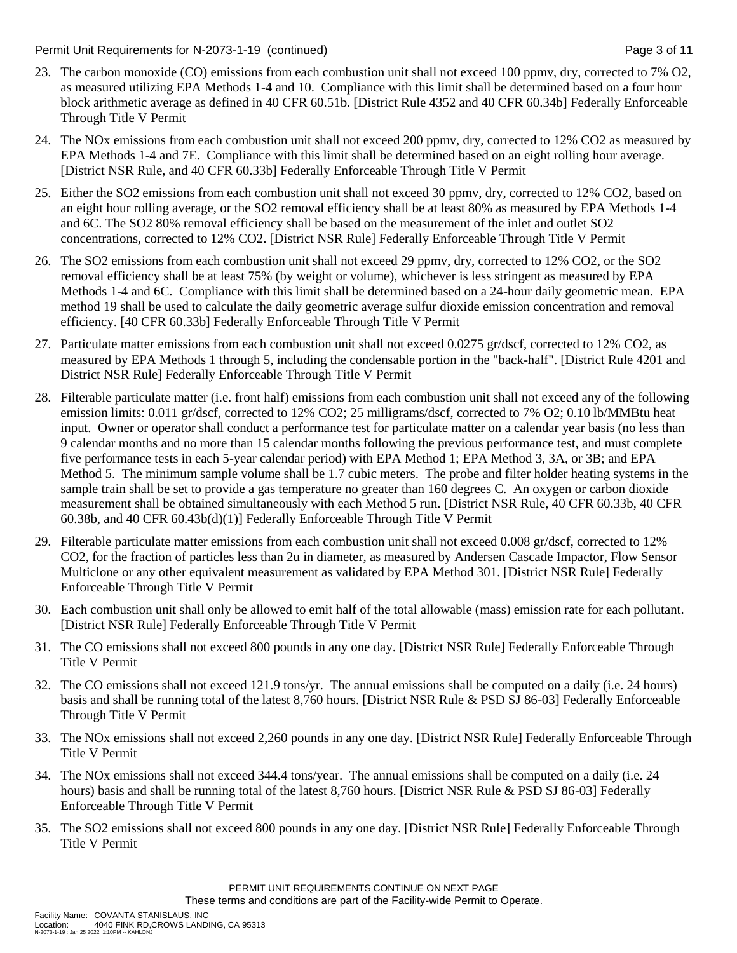Permit Unit Requirements for N-2073-1-19 (continued) Page 3 of 11

- 23. The carbon monoxide (CO) emissions from each combustion unit shall not exceed 100 ppmv, dry, corrected to 7% O2, as measured utilizing EPA Methods 1-4 and 10. Compliance with this limit shall be determined based on a four hour block arithmetic average as defined in 40 CFR 60.51b. [District Rule 4352 and 40 CFR 60.34b] Federally Enforceable Through Title V Permit
- 24. The NOx emissions from each combustion unit shall not exceed 200 ppmv, dry, corrected to 12% CO2 as measured by EPA Methods 1-4 and 7E. Compliance with this limit shall be determined based on an eight rolling hour average. [District NSR Rule, and 40 CFR 60.33b] Federally Enforceable Through Title V Permit
- 25. Either the SO2 emissions from each combustion unit shall not exceed 30 ppmv, dry, corrected to 12% CO2, based on an eight hour rolling average, or the SO2 removal efficiency shall be at least 80% as measured by EPA Methods 1-4 and 6C. The SO2 80% removal efficiency shall be based on the measurement of the inlet and outlet SO2 concentrations, corrected to 12% CO2. [District NSR Rule] Federally Enforceable Through Title V Permit
- 26. The SO2 emissions from each combustion unit shall not exceed 29 ppmv, dry, corrected to 12% CO2, or the SO2 removal efficiency shall be at least 75% (by weight or volume), whichever is less stringent as measured by EPA Methods 1-4 and 6C. Compliance with this limit shall be determined based on a 24-hour daily geometric mean. EPA method 19 shall be used to calculate the daily geometric average sulfur dioxide emission concentration and removal efficiency. [40 CFR 60.33b] Federally Enforceable Through Title V Permit
- 27. Particulate matter emissions from each combustion unit shall not exceed 0.0275 gr/dscf, corrected to 12% CO2, as measured by EPA Methods 1 through 5, including the condensable portion in the "back-half". [District Rule 4201 and District NSR Rule] Federally Enforceable Through Title V Permit
- 28. Filterable particulate matter (i.e. front half) emissions from each combustion unit shall not exceed any of the following emission limits: 0.011 gr/dscf, corrected to 12% CO2; 25 milligrams/dscf, corrected to 7% O2; 0.10 lb/MMBtu heat input. Owner or operator shall conduct a performance test for particulate matter on a calendar year basis (no less than 9 calendar months and no more than 15 calendar months following the previous performance test, and must complete five performance tests in each 5-year calendar period) with EPA Method 1; EPA Method 3, 3A, or 3B; and EPA Method 5. The minimum sample volume shall be 1.7 cubic meters. The probe and filter holder heating systems in the sample train shall be set to provide a gas temperature no greater than 160 degrees C. An oxygen or carbon dioxide measurement shall be obtained simultaneously with each Method 5 run. [District NSR Rule, 40 CFR 60.33b, 40 CFR 60.38b, and 40 CFR 60.43b(d)(1)] Federally Enforceable Through Title V Permit
- 29. Filterable particulate matter emissions from each combustion unit shall not exceed 0.008 gr/dscf, corrected to 12% CO2, for the fraction of particles less than 2u in diameter, as measured by Andersen Cascade Impactor, Flow Sensor Multiclone or any other equivalent measurement as validated by EPA Method 301. [District NSR Rule] Federally Enforceable Through Title V Permit
- 30. Each combustion unit shall only be allowed to emit half of the total allowable (mass) emission rate for each pollutant. [District NSR Rule] Federally Enforceable Through Title V Permit
- 31. The CO emissions shall not exceed 800 pounds in any one day. [District NSR Rule] Federally Enforceable Through Title V Permit
- 32. The CO emissions shall not exceed 121.9 tons/yr. The annual emissions shall be computed on a daily (i.e. 24 hours) basis and shall be running total of the latest 8,760 hours. [District NSR Rule & PSD SJ 86-03] Federally Enforceable Through Title V Permit
- 33. The NOx emissions shall not exceed 2,260 pounds in any one day. [District NSR Rule] Federally Enforceable Through Title V Permit
- 34. The NOx emissions shall not exceed 344.4 tons/year. The annual emissions shall be computed on a daily (i.e. 24 hours) basis and shall be running total of the latest 8,760 hours. [District NSR Rule & PSD SJ 86-03] Federally Enforceable Through Title V Permit
- 35. The SO2 emissions shall not exceed 800 pounds in any one day. [District NSR Rule] Federally Enforceable Through Title V Permit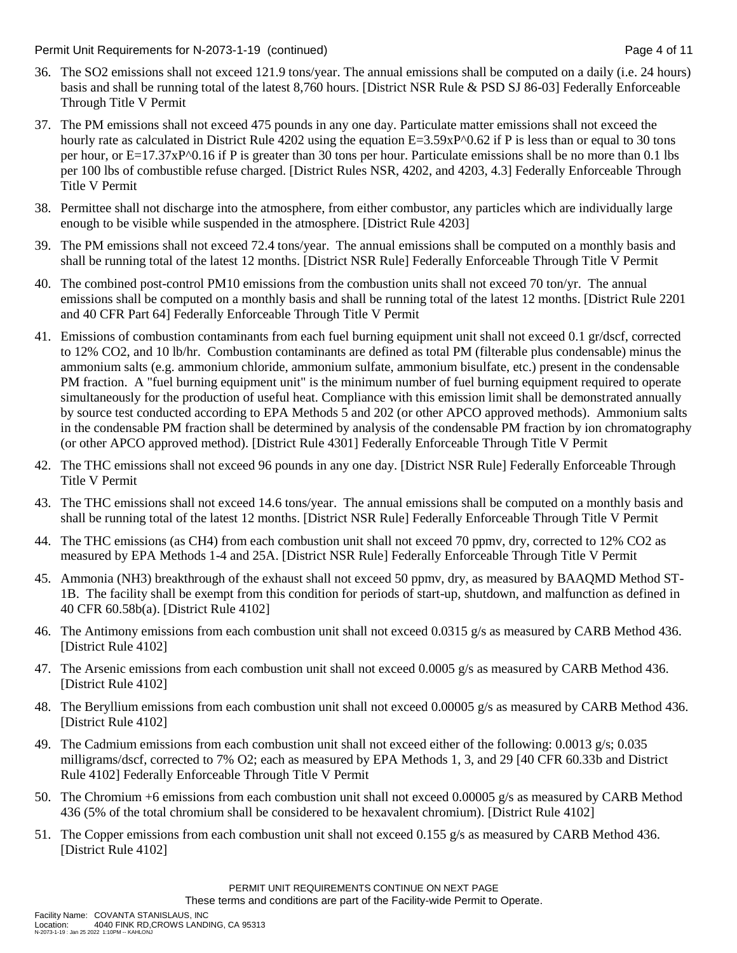Permit Unit Requirements for N-2073-1-19 (continued) Page 4 of 11

- 36. The SO2 emissions shall not exceed 121.9 tons/year. The annual emissions shall be computed on a daily (i.e. 24 hours) basis and shall be running total of the latest 8,760 hours. [District NSR Rule & PSD SJ 86-03] Federally Enforceable Through Title V Permit
- 37. The PM emissions shall not exceed 475 pounds in any one day. Particulate matter emissions shall not exceed the hourly rate as calculated in District Rule 4202 using the equation  $E=3.59 \times P^0 \cdot 0.62$  if P is less than or equal to 30 tons per hour, or E=17.37xP^0.16 if P is greater than 30 tons per hour. Particulate emissions shall be no more than 0.1 lbs per 100 lbs of combustible refuse charged. [District Rules NSR, 4202, and 4203, 4.3] Federally Enforceable Through Title V Permit
- 38. Permittee shall not discharge into the atmosphere, from either combustor, any particles which are individually large enough to be visible while suspended in the atmosphere. [District Rule 4203]
- 39. The PM emissions shall not exceed 72.4 tons/year. The annual emissions shall be computed on a monthly basis and shall be running total of the latest 12 months. [District NSR Rule] Federally Enforceable Through Title V Permit
- 40. The combined post-control PM10 emissions from the combustion units shall not exceed 70 ton/yr. The annual emissions shall be computed on a monthly basis and shall be running total of the latest 12 months. [District Rule 2201 and 40 CFR Part 64] Federally Enforceable Through Title V Permit
- 41. Emissions of combustion contaminants from each fuel burning equipment unit shall not exceed 0.1 gr/dscf, corrected to 12% CO2, and 10 lb/hr. Combustion contaminants are defined as total PM (filterable plus condensable) minus the ammonium salts (e.g. ammonium chloride, ammonium sulfate, ammonium bisulfate, etc.) present in the condensable PM fraction. A "fuel burning equipment unit" is the minimum number of fuel burning equipment required to operate simultaneously for the production of useful heat. Compliance with this emission limit shall be demonstrated annually by source test conducted according to EPA Methods 5 and 202 (or other APCO approved methods). Ammonium salts in the condensable PM fraction shall be determined by analysis of the condensable PM fraction by ion chromatography (or other APCO approved method). [District Rule 4301] Federally Enforceable Through Title V Permit
- 42. The THC emissions shall not exceed 96 pounds in any one day. [District NSR Rule] Federally Enforceable Through Title V Permit
- 43. The THC emissions shall not exceed 14.6 tons/year. The annual emissions shall be computed on a monthly basis and shall be running total of the latest 12 months. [District NSR Rule] Federally Enforceable Through Title V Permit
- 44. The THC emissions (as CH4) from each combustion unit shall not exceed 70 ppmv, dry, corrected to 12% CO2 as measured by EPA Methods 1-4 and 25A. [District NSR Rule] Federally Enforceable Through Title V Permit
- 45. Ammonia (NH3) breakthrough of the exhaust shall not exceed 50 ppmv, dry, as measured by BAAQMD Method ST-1B. The facility shall be exempt from this condition for periods of start-up, shutdown, and malfunction as defined in 40 CFR 60.58b(a). [District Rule 4102]
- 46. The Antimony emissions from each combustion unit shall not exceed 0.0315 g/s as measured by CARB Method 436. [District Rule 4102]
- 47. The Arsenic emissions from each combustion unit shall not exceed 0.0005 g/s as measured by CARB Method 436. [District Rule 4102]
- 48. The Beryllium emissions from each combustion unit shall not exceed 0.00005 g/s as measured by CARB Method 436. [District Rule 4102]
- 49. The Cadmium emissions from each combustion unit shall not exceed either of the following: 0.0013 g/s; 0.035 milligrams/dscf, corrected to 7% O2; each as measured by EPA Methods 1, 3, and 29 [40 CFR 60.33b and District Rule 4102] Federally Enforceable Through Title V Permit
- 50. The Chromium +6 emissions from each combustion unit shall not exceed 0.00005 g/s as measured by CARB Method 436 (5% of the total chromium shall be considered to be hexavalent chromium). [District Rule 4102]
- 51. The Copper emissions from each combustion unit shall not exceed 0.155 g/s as measured by CARB Method 436. [District Rule 4102]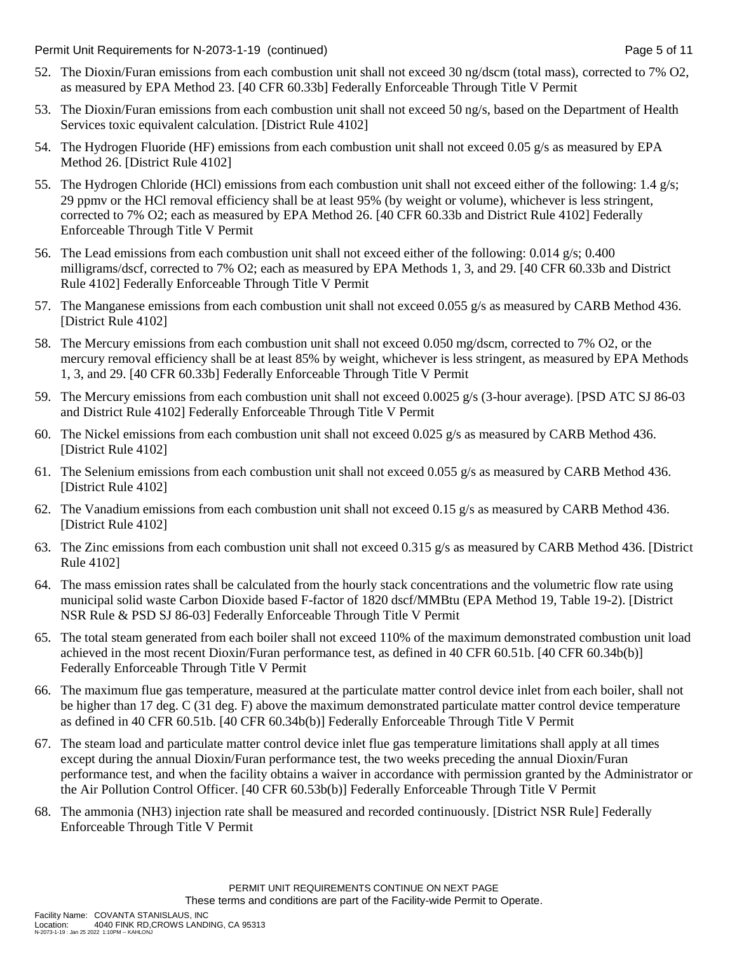Permit Unit Requirements for N-2073-1-19 (continued) Page 5 of 11

- 52. The Dioxin/Furan emissions from each combustion unit shall not exceed 30 ng/dscm (total mass), corrected to 7% O2, as measured by EPA Method 23. [40 CFR 60.33b] Federally Enforceable Through Title V Permit
- 53. The Dioxin/Furan emissions from each combustion unit shall not exceed 50 ng/s, based on the Department of Health Services toxic equivalent calculation. [District Rule 4102]
- 54. The Hydrogen Fluoride (HF) emissions from each combustion unit shall not exceed 0.05 g/s as measured by EPA Method 26. [District Rule 4102]
- 55. The Hydrogen Chloride (HCl) emissions from each combustion unit shall not exceed either of the following: 1.4 g/s; 29 ppmv or the HCl removal efficiency shall be at least 95% (by weight or volume), whichever is less stringent, corrected to 7% O2; each as measured by EPA Method 26. [40 CFR 60.33b and District Rule 4102] Federally Enforceable Through Title V Permit
- 56. The Lead emissions from each combustion unit shall not exceed either of the following: 0.014 g/s; 0.400 milligrams/dscf, corrected to 7% O2; each as measured by EPA Methods 1, 3, and 29. [40 CFR 60.33b and District Rule 4102] Federally Enforceable Through Title V Permit
- 57. The Manganese emissions from each combustion unit shall not exceed 0.055  $g/s$  as measured by CARB Method 436. [District Rule 4102]
- 58. The Mercury emissions from each combustion unit shall not exceed 0.050 mg/dscm, corrected to 7% O2, or the mercury removal efficiency shall be at least 85% by weight, whichever is less stringent, as measured by EPA Methods 1, 3, and 29. [40 CFR 60.33b] Federally Enforceable Through Title V Permit
- 59. The Mercury emissions from each combustion unit shall not exceed 0.0025 g/s (3-hour average). [PSD ATC SJ 86-03 and District Rule 4102] Federally Enforceable Through Title V Permit
- 60. The Nickel emissions from each combustion unit shall not exceed 0.025 g/s as measured by CARB Method 436. [District Rule 4102]
- 61. The Selenium emissions from each combustion unit shall not exceed 0.055 g/s as measured by CARB Method 436. [District Rule 4102]
- 62. The Vanadium emissions from each combustion unit shall not exceed 0.15 g/s as measured by CARB Method 436. [District Rule 4102]
- 63. The Zinc emissions from each combustion unit shall not exceed 0.315 g/s as measured by CARB Method 436. [District Rule 4102]
- 64. The mass emission rates shall be calculated from the hourly stack concentrations and the volumetric flow rate using municipal solid waste Carbon Dioxide based F-factor of 1820 dscf/MMBtu (EPA Method 19, Table 19-2). [District NSR Rule & PSD SJ 86-03] Federally Enforceable Through Title V Permit
- 65. The total steam generated from each boiler shall not exceed 110% of the maximum demonstrated combustion unit load achieved in the most recent Dioxin/Furan performance test, as defined in 40 CFR 60.51b. [40 CFR 60.34b(b)] Federally Enforceable Through Title V Permit
- 66. The maximum flue gas temperature, measured at the particulate matter control device inlet from each boiler, shall not be higher than 17 deg. C (31 deg. F) above the maximum demonstrated particulate matter control device temperature as defined in 40 CFR 60.51b. [40 CFR 60.34b(b)] Federally Enforceable Through Title V Permit
- 67. The steam load and particulate matter control device inlet flue gas temperature limitations shall apply at all times except during the annual Dioxin/Furan performance test, the two weeks preceding the annual Dioxin/Furan performance test, and when the facility obtains a waiver in accordance with permission granted by the Administrator or the Air Pollution Control Officer. [40 CFR 60.53b(b)] Federally Enforceable Through Title V Permit
- 68. The ammonia (NH3) injection rate shall be measured and recorded continuously. [District NSR Rule] Federally Enforceable Through Title V Permit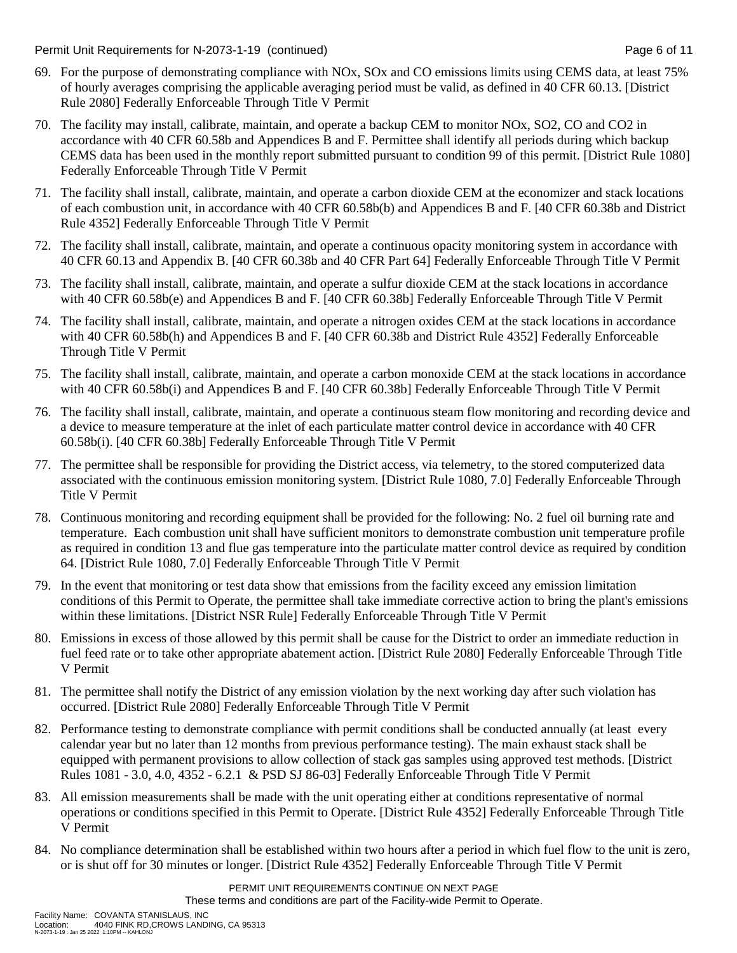Permit Unit Requirements for N-2073-1-19 (continued) Page 6 of 11

- 69. For the purpose of demonstrating compliance with NOx, SOx and CO emissions limits using CEMS data, at least 75% of hourly averages comprising the applicable averaging period must be valid, as defined in 40 CFR 60.13. [District Rule 2080] Federally Enforceable Through Title V Permit
- 70. The facility may install, calibrate, maintain, and operate a backup CEM to monitor NOx, SO2, CO and CO2 in accordance with 40 CFR 60.58b and Appendices B and F. Permittee shall identify all periods during which backup CEMS data has been used in the monthly report submitted pursuant to condition 99 of this permit. [District Rule 1080] Federally Enforceable Through Title V Permit
- 71. The facility shall install, calibrate, maintain, and operate a carbon dioxide CEM at the economizer and stack locations of each combustion unit, in accordance with 40 CFR 60.58b(b) and Appendices B and F. [40 CFR 60.38b and District Rule 4352] Federally Enforceable Through Title V Permit
- 72. The facility shall install, calibrate, maintain, and operate a continuous opacity monitoring system in accordance with 40 CFR 60.13 and Appendix B. [40 CFR 60.38b and 40 CFR Part 64] Federally Enforceable Through Title V Permit
- 73. The facility shall install, calibrate, maintain, and operate a sulfur dioxide CEM at the stack locations in accordance with 40 CFR 60.58b(e) and Appendices B and F. [40 CFR 60.38b] Federally Enforceable Through Title V Permit
- 74. The facility shall install, calibrate, maintain, and operate a nitrogen oxides CEM at the stack locations in accordance with 40 CFR 60.58b(h) and Appendices B and F. [40 CFR 60.38b and District Rule 4352] Federally Enforceable Through Title V Permit
- 75. The facility shall install, calibrate, maintain, and operate a carbon monoxide CEM at the stack locations in accordance with 40 CFR 60.58b(i) and Appendices B and F. [40 CFR 60.38b] Federally Enforceable Through Title V Permit
- 76. The facility shall install, calibrate, maintain, and operate a continuous steam flow monitoring and recording device and a device to measure temperature at the inlet of each particulate matter control device in accordance with 40 CFR 60.58b(i). [40 CFR 60.38b] Federally Enforceable Through Title V Permit
- 77. The permittee shall be responsible for providing the District access, via telemetry, to the stored computerized data associated with the continuous emission monitoring system. [District Rule 1080, 7.0] Federally Enforceable Through Title V Permit
- 78. Continuous monitoring and recording equipment shall be provided for the following: No. 2 fuel oil burning rate and temperature. Each combustion unit shall have sufficient monitors to demonstrate combustion unit temperature profile as required in condition 13 and flue gas temperature into the particulate matter control device as required by condition 64. [District Rule 1080, 7.0] Federally Enforceable Through Title V Permit
- 79. In the event that monitoring or test data show that emissions from the facility exceed any emission limitation conditions of this Permit to Operate, the permittee shall take immediate corrective action to bring the plant's emissions within these limitations. [District NSR Rule] Federally Enforceable Through Title V Permit
- 80. Emissions in excess of those allowed by this permit shall be cause for the District to order an immediate reduction in fuel feed rate or to take other appropriate abatement action. [District Rule 2080] Federally Enforceable Through Title V Permit
- 81. The permittee shall notify the District of any emission violation by the next working day after such violation has occurred. [District Rule 2080] Federally Enforceable Through Title V Permit
- 82. Performance testing to demonstrate compliance with permit conditions shall be conducted annually (at least every calendar year but no later than 12 months from previous performance testing). The main exhaust stack shall be equipped with permanent provisions to allow collection of stack gas samples using approved test methods. [District Rules 1081 - 3.0, 4.0, 4352 - 6.2.1 & PSD SJ 86-03] Federally Enforceable Through Title V Permit
- 83. All emission measurements shall be made with the unit operating either at conditions representative of normal operations or conditions specified in this Permit to Operate. [District Rule 4352] Federally Enforceable Through Title V Permit
- 84. No compliance determination shall be established within two hours after a period in which fuel flow to the unit is zero, or is shut off for 30 minutes or longer. [District Rule 4352] Federally Enforceable Through Title V Permit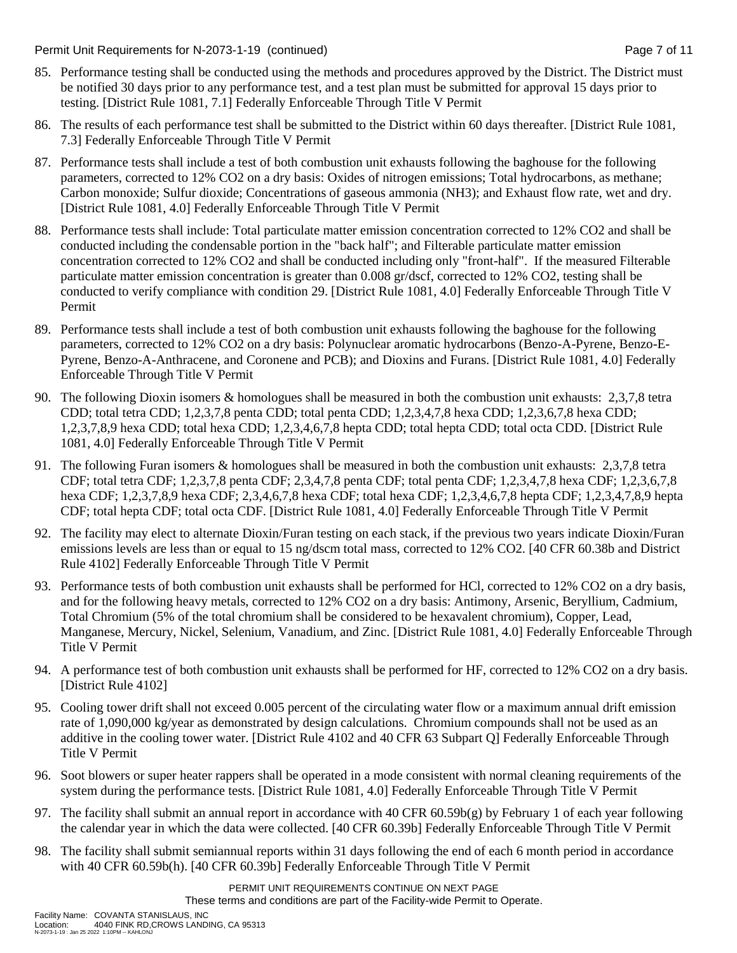Permit Unit Requirements for N-2073-1-19 (continued) Page 7 of 11

- 85. Performance testing shall be conducted using the methods and procedures approved by the District. The District must be notified 30 days prior to any performance test, and a test plan must be submitted for approval 15 days prior to testing. [District Rule 1081, 7.1] Federally Enforceable Through Title V Permit
- 86. The results of each performance test shall be submitted to the District within 60 days thereafter. [District Rule 1081, 7.3] Federally Enforceable Through Title V Permit
- 87. Performance tests shall include a test of both combustion unit exhausts following the baghouse for the following parameters, corrected to 12% CO2 on a dry basis: Oxides of nitrogen emissions; Total hydrocarbons, as methane; Carbon monoxide; Sulfur dioxide; Concentrations of gaseous ammonia (NH3); and Exhaust flow rate, wet and dry. [District Rule 1081, 4.0] Federally Enforceable Through Title V Permit
- 88. Performance tests shall include: Total particulate matter emission concentration corrected to 12% CO2 and shall be conducted including the condensable portion in the "back half"; and Filterable particulate matter emission concentration corrected to 12% CO2 and shall be conducted including only "front-half". If the measured Filterable particulate matter emission concentration is greater than 0.008 gr/dscf, corrected to 12% CO2, testing shall be conducted to verify compliance with condition 29. [District Rule 1081, 4.0] Federally Enforceable Through Title V Permit
- 89. Performance tests shall include a test of both combustion unit exhausts following the baghouse for the following parameters, corrected to 12% CO2 on a dry basis: Polynuclear aromatic hydrocarbons (Benzo-A-Pyrene, Benzo-E-Pyrene, Benzo-A-Anthracene, and Coronene and PCB); and Dioxins and Furans. [District Rule 1081, 4.0] Federally Enforceable Through Title V Permit
- 90. The following Dioxin isomers & homologues shall be measured in both the combustion unit exhausts: 2,3,7,8 tetra CDD; total tetra CDD; 1,2,3,7,8 penta CDD; total penta CDD; 1,2,3,4,7,8 hexa CDD; 1,2,3,6,7,8 hexa CDD; 1,2,3,7,8,9 hexa CDD; total hexa CDD; 1,2,3,4,6,7,8 hepta CDD; total hepta CDD; total octa CDD. [District Rule 1081, 4.0] Federally Enforceable Through Title V Permit
- 91. The following Furan isomers & homologues shall be measured in both the combustion unit exhausts: 2,3,7,8 tetra CDF; total tetra CDF; 1,2,3,7,8 penta CDF; 2,3,4,7,8 penta CDF; total penta CDF; 1,2,3,4,7,8 hexa CDF; 1,2,3,6,7,8 hexa CDF; 1,2,3,7,8,9 hexa CDF; 2,3,4,6,7,8 hexa CDF; total hexa CDF; 1,2,3,4,6,7,8 hepta CDF; 1,2,3,4,7,8,9 hepta CDF; total hepta CDF; total octa CDF. [District Rule 1081, 4.0] Federally Enforceable Through Title V Permit
- 92. The facility may elect to alternate Dioxin/Furan testing on each stack, if the previous two years indicate Dioxin/Furan emissions levels are less than or equal to 15 ng/dscm total mass, corrected to 12% CO2. [40 CFR 60.38b and District Rule 4102] Federally Enforceable Through Title V Permit
- 93. Performance tests of both combustion unit exhausts shall be performed for HCl, corrected to 12% CO2 on a dry basis, and for the following heavy metals, corrected to 12% CO2 on a dry basis: Antimony, Arsenic, Beryllium, Cadmium, Total Chromium (5% of the total chromium shall be considered to be hexavalent chromium), Copper, Lead, Manganese, Mercury, Nickel, Selenium, Vanadium, and Zinc. [District Rule 1081, 4.0] Federally Enforceable Through Title V Permit
- 94. A performance test of both combustion unit exhausts shall be performed for HF, corrected to 12% CO2 on a dry basis. [District Rule 4102]
- 95. Cooling tower drift shall not exceed 0.005 percent of the circulating water flow or a maximum annual drift emission rate of 1,090,000 kg/year as demonstrated by design calculations. Chromium compounds shall not be used as an additive in the cooling tower water. [District Rule 4102 and 40 CFR 63 Subpart Q] Federally Enforceable Through Title V Permit
- 96. Soot blowers or super heater rappers shall be operated in a mode consistent with normal cleaning requirements of the system during the performance tests. [District Rule 1081, 4.0] Federally Enforceable Through Title V Permit
- 97. The facility shall submit an annual report in accordance with 40 CFR 60.59b(g) by February 1 of each year following the calendar year in which the data were collected. [40 CFR 60.39b] Federally Enforceable Through Title V Permit
- 98. The facility shall submit semiannual reports within 31 days following the end of each 6 month period in accordance with 40 CFR 60.59b(h). [40 CFR 60.39b] Federally Enforceable Through Title V Permit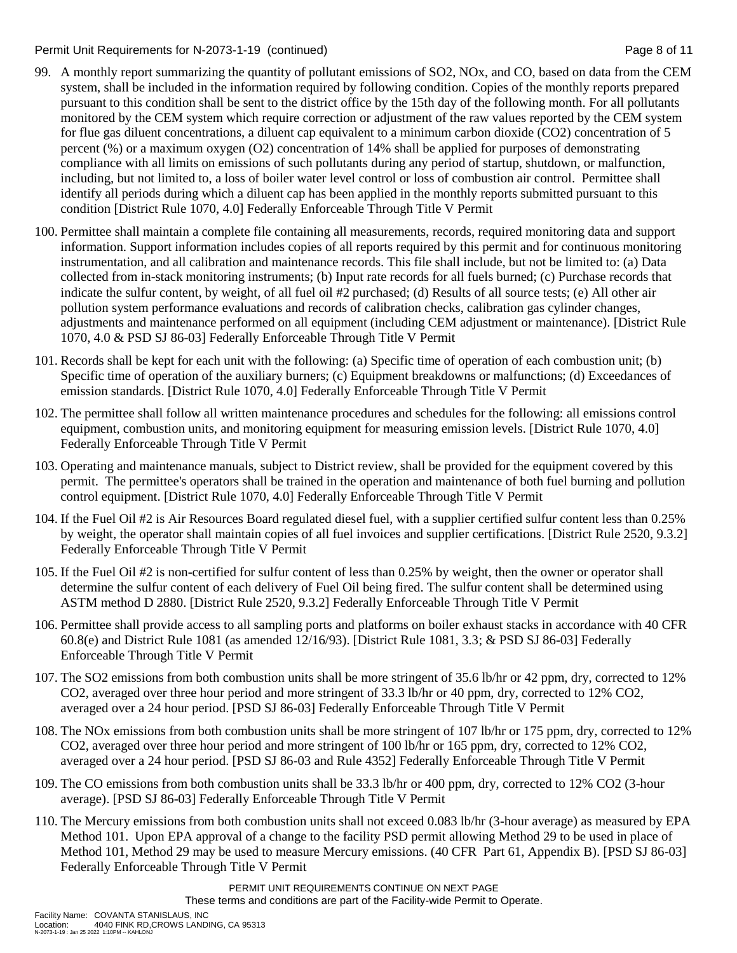### Permit Unit Requirements for N-2073-1-19 (continued) Page 8 of 11

- 99. A monthly report summarizing the quantity of pollutant emissions of SO2, NOx, and CO, based on data from the CEM system, shall be included in the information required by following condition. Copies of the monthly reports prepared pursuant to this condition shall be sent to the district office by the 15th day of the following month. For all pollutants monitored by the CEM system which require correction or adjustment of the raw values reported by the CEM system for flue gas diluent concentrations, a diluent cap equivalent to a minimum carbon dioxide (CO2) concentration of 5 percent (%) or a maximum oxygen (O2) concentration of 14% shall be applied for purposes of demonstrating compliance with all limits on emissions of such pollutants during any period of startup, shutdown, or malfunction, including, but not limited to, a loss of boiler water level control or loss of combustion air control. Permittee shall identify all periods during which a diluent cap has been applied in the monthly reports submitted pursuant to this condition [District Rule 1070, 4.0] Federally Enforceable Through Title V Permit
- 100. Permittee shall maintain a complete file containing all measurements, records, required monitoring data and support information. Support information includes copies of all reports required by this permit and for continuous monitoring instrumentation, and all calibration and maintenance records. This file shall include, but not be limited to: (a) Data collected from in-stack monitoring instruments; (b) Input rate records for all fuels burned; (c) Purchase records that indicate the sulfur content, by weight, of all fuel oil #2 purchased; (d) Results of all source tests; (e) All other air pollution system performance evaluations and records of calibration checks, calibration gas cylinder changes, adjustments and maintenance performed on all equipment (including CEM adjustment or maintenance). [District Rule 1070, 4.0 & PSD SJ 86-03] Federally Enforceable Through Title V Permit
- 101. Records shall be kept for each unit with the following: (a) Specific time of operation of each combustion unit; (b) Specific time of operation of the auxiliary burners; (c) Equipment breakdowns or malfunctions; (d) Exceedances of emission standards. [District Rule 1070, 4.0] Federally Enforceable Through Title V Permit
- 102. The permittee shall follow all written maintenance procedures and schedules for the following: all emissions control equipment, combustion units, and monitoring equipment for measuring emission levels. [District Rule 1070, 4.0] Federally Enforceable Through Title V Permit
- 103. Operating and maintenance manuals, subject to District review, shall be provided for the equipment covered by this permit. The permittee's operators shall be trained in the operation and maintenance of both fuel burning and pollution control equipment. [District Rule 1070, 4.0] Federally Enforceable Through Title V Permit
- 104. If the Fuel Oil #2 is Air Resources Board regulated diesel fuel, with a supplier certified sulfur content less than 0.25% by weight, the operator shall maintain copies of all fuel invoices and supplier certifications. [District Rule 2520, 9.3.2] Federally Enforceable Through Title V Permit
- 105. If the Fuel Oil #2 is non-certified for sulfur content of less than 0.25% by weight, then the owner or operator shall determine the sulfur content of each delivery of Fuel Oil being fired. The sulfur content shall be determined using ASTM method D 2880. [District Rule 2520, 9.3.2] Federally Enforceable Through Title V Permit
- 106. Permittee shall provide access to all sampling ports and platforms on boiler exhaust stacks in accordance with 40 CFR 60.8(e) and District Rule 1081 (as amended 12/16/93). [District Rule 1081, 3.3; & PSD SJ 86-03] Federally Enforceable Through Title V Permit
- 107. The SO2 emissions from both combustion units shall be more stringent of 35.6 lb/hr or 42 ppm, dry, corrected to 12% CO2, averaged over three hour period and more stringent of 33.3 lb/hr or 40 ppm, dry, corrected to 12% CO2, averaged over a 24 hour period. [PSD SJ 86-03] Federally Enforceable Through Title V Permit
- 108. The NOx emissions from both combustion units shall be more stringent of 107 lb/hr or 175 ppm, dry, corrected to 12% CO2, averaged over three hour period and more stringent of 100 lb/hr or 165 ppm, dry, corrected to 12% CO2, averaged over a 24 hour period. [PSD SJ 86-03 and Rule 4352] Federally Enforceable Through Title V Permit
- 109. The CO emissions from both combustion units shall be 33.3 lb/hr or 400 ppm, dry, corrected to 12% CO2 (3-hour average). [PSD SJ 86-03] Federally Enforceable Through Title V Permit
- 110. The Mercury emissions from both combustion units shall not exceed 0.083 lb/hr (3-hour average) as measured by EPA Method 101. Upon EPA approval of a change to the facility PSD permit allowing Method 29 to be used in place of Method 101, Method 29 may be used to measure Mercury emissions. (40 CFR Part 61, Appendix B). [PSD SJ 86-03] Federally Enforceable Through Title V Permit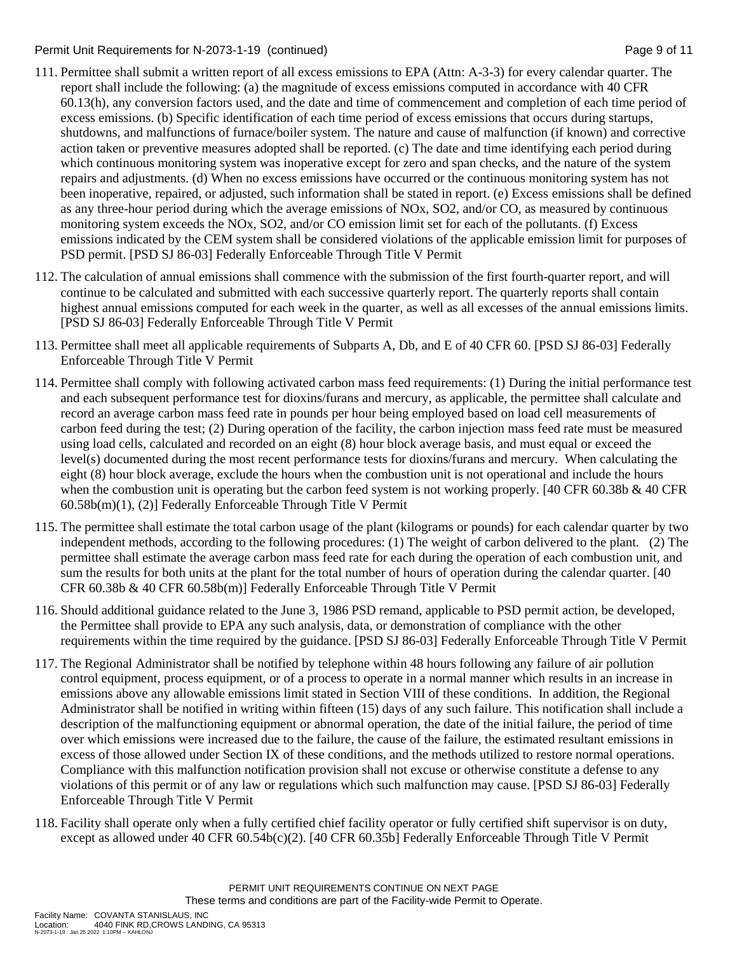### Permit Unit Requirements for N-2073-1-19 (continued) Page 9 of 11

- 111. Permittee shall submit a written report of all excess emissions to EPA (Attn: A-3-3) for every calendar quarter. The report shall include the following: (a) the magnitude of excess emissions computed in accordance with 40 CFR 60.13(h), any conversion factors used, and the date and time of commencement and completion of each time period of excess emissions. (b) Specific identification of each time period of excess emissions that occurs during startups, shutdowns, and malfunctions of furnace/boiler system. The nature and cause of malfunction (if known) and corrective action taken or preventive measures adopted shall be reported. (c) The date and time identifying each period during which continuous monitoring system was inoperative except for zero and span checks, and the nature of the system repairs and adjustments. (d) When no excess emissions have occurred or the continuous monitoring system has not been inoperative, repaired, or adjusted, such information shall be stated in report. (e) Excess emissions shall be defined as any three-hour period during which the average emissions of NOx, SO2, and/or CO, as measured by continuous monitoring system exceeds the NOx, SO2, and/or CO emission limit set for each of the pollutants. (f) Excess emissions indicated by the CEM system shall be considered violations of the applicable emission limit for purposes of PSD permit. [PSD SJ 86-03] Federally Enforceable Through Title V Permit
- 112. The calculation of annual emissions shall commence with the submission of the first fourth-quarter report, and will continue to be calculated and submitted with each successive quarterly report. The quarterly reports shall contain highest annual emissions computed for each week in the quarter, as well as all excesses of the annual emissions limits. [PSD SJ 86-03] Federally Enforceable Through Title V Permit
- 113. Permittee shall meet all applicable requirements of Subparts A, Db, and E of 40 CFR 60. [PSD SJ 86-03] Federally Enforceable Through Title V Permit
- 114. Permittee shall comply with following activated carbon mass feed requirements: (1) During the initial performance test and each subsequent performance test for dioxins/furans and mercury, as applicable, the permittee shall calculate and record an average carbon mass feed rate in pounds per hour being employed based on load cell measurements of carbon feed during the test; (2) During operation of the facility, the carbon injection mass feed rate must be measured using load cells, calculated and recorded on an eight (8) hour block average basis, and must equal or exceed the level(s) documented during the most recent performance tests for dioxins/furans and mercury. When calculating the eight (8) hour block average, exclude the hours when the combustion unit is not operational and include the hours when the combustion unit is operating but the carbon feed system is not working properly. [40 CFR 60.38b & 40 CFR 60.58b(m)(1), (2)] Federally Enforceable Through Title V Permit
- 115. The permittee shall estimate the total carbon usage of the plant (kilograms or pounds) for each calendar quarter by two independent methods, according to the following procedures: (1) The weight of carbon delivered to the plant. (2) The permittee shall estimate the average carbon mass feed rate for each during the operation of each combustion unit, and sum the results for both units at the plant for the total number of hours of operation during the calendar quarter. [40 CFR 60.38b & 40 CFR 60.58b(m)] Federally Enforceable Through Title V Permit
- 116. Should additional guidance related to the June 3, 1986 PSD remand, applicable to PSD permit action, be developed, the Permittee shall provide to EPA any such analysis, data, or demonstration of compliance with the other requirements within the time required by the guidance. [PSD SJ 86-03] Federally Enforceable Through Title V Permit
- 117. The Regional Administrator shall be notified by telephone within 48 hours following any failure of air pollution control equipment, process equipment, or of a process to operate in a normal manner which results in an increase in emissions above any allowable emissions limit stated in Section VIII of these conditions. In addition, the Regional Administrator shall be notified in writing within fifteen (15) days of any such failure. This notification shall include a description of the malfunctioning equipment or abnormal operation, the date of the initial failure, the period of time over which emissions were increased due to the failure, the cause of the failure, the estimated resultant emissions in excess of those allowed under Section IX of these conditions, and the methods utilized to restore normal operations. Compliance with this malfunction notification provision shall not excuse or otherwise constitute a defense to any violations of this permit or of any law or regulations which such malfunction may cause. [PSD SJ 86-03] Federally Enforceable Through Title V Permit
- 118. Facility shall operate only when a fully certified chief facility operator or fully certified shift supervisor is on duty, except as allowed under 40 CFR 60.54b(c)(2). [40 CFR 60.35b] Federally Enforceable Through Title V Permit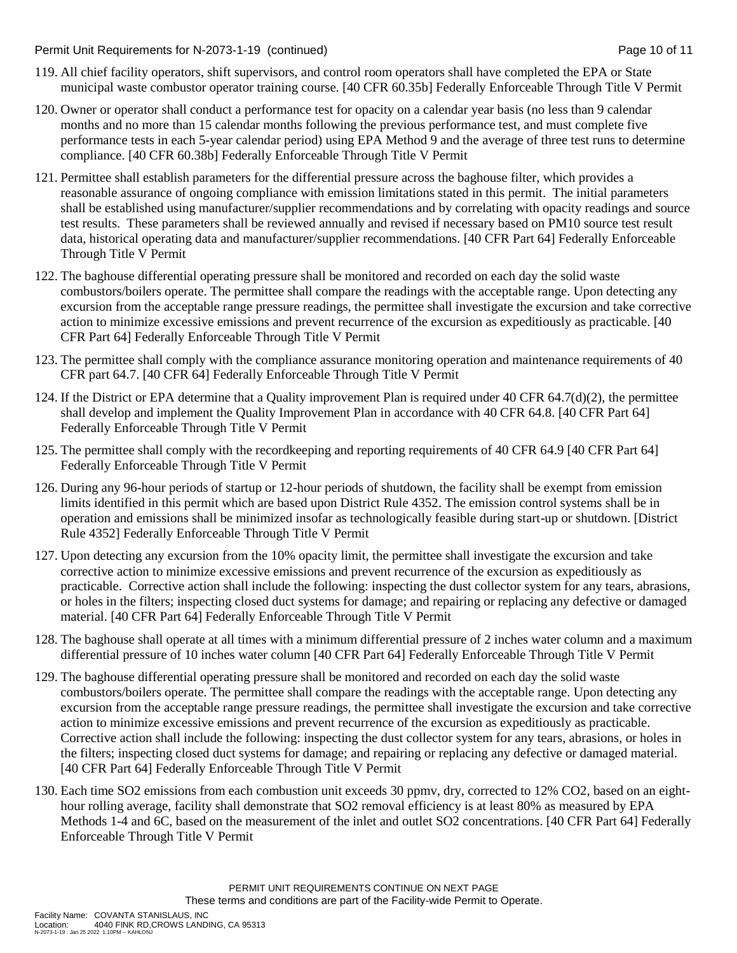Permit Unit Requirements for N-2073-1-19 (continued) example and the state of the Page 10 of 11

- 119. All chief facility operators, shift supervisors, and control room operators shall have completed the EPA or State municipal waste combustor operator training course. [40 CFR 60.35b] Federally Enforceable Through Title V Permit
- 120. Owner or operator shall conduct a performance test for opacity on a calendar year basis (no less than 9 calendar months and no more than 15 calendar months following the previous performance test, and must complete five performance tests in each 5-year calendar period) using EPA Method 9 and the average of three test runs to determine compliance. [40 CFR 60.38b] Federally Enforceable Through Title V Permit
- 121. Permittee shall establish parameters for the differential pressure across the baghouse filter, which provides a reasonable assurance of ongoing compliance with emission limitations stated in this permit. The initial parameters shall be established using manufacturer/supplier recommendations and by correlating with opacity readings and source test results. These parameters shall be reviewed annually and revised if necessary based on PM10 source test result data, historical operating data and manufacturer/supplier recommendations. [40 CFR Part 64] Federally Enforceable Through Title V Permit
- 122. The baghouse differential operating pressure shall be monitored and recorded on each day the solid waste combustors/boilers operate. The permittee shall compare the readings with the acceptable range. Upon detecting any excursion from the acceptable range pressure readings, the permittee shall investigate the excursion and take corrective action to minimize excessive emissions and prevent recurrence of the excursion as expeditiously as practicable. [40 CFR Part 64] Federally Enforceable Through Title V Permit
- 123. The permittee shall comply with the compliance assurance monitoring operation and maintenance requirements of 40 CFR part 64.7. [40 CFR 64] Federally Enforceable Through Title V Permit
- 124. If the District or EPA determine that a Quality improvement Plan is required under  $40 \text{ CFR } 64.7\text{(d)}(2)$ , the permittee shall develop and implement the Quality Improvement Plan in accordance with 40 CFR 64.8. [40 CFR Part 64] Federally Enforceable Through Title V Permit
- 125. The permittee shall comply with the recordkeeping and reporting requirements of 40 CFR 64.9 [40 CFR Part 64] Federally Enforceable Through Title V Permit
- 126. During any 96-hour periods of startup or 12-hour periods of shutdown, the facility shall be exempt from emission limits identified in this permit which are based upon District Rule 4352. The emission control systems shall be in operation and emissions shall be minimized insofar as technologically feasible during start-up or shutdown. [District Rule 4352] Federally Enforceable Through Title V Permit
- 127. Upon detecting any excursion from the 10% opacity limit, the permittee shall investigate the excursion and take corrective action to minimize excessive emissions and prevent recurrence of the excursion as expeditiously as practicable. Corrective action shall include the following: inspecting the dust collector system for any tears, abrasions, or holes in the filters; inspecting closed duct systems for damage; and repairing or replacing any defective or damaged material. [40 CFR Part 64] Federally Enforceable Through Title V Permit
- 128. The baghouse shall operate at all times with a minimum differential pressure of 2 inches water column and a maximum differential pressure of 10 inches water column [40 CFR Part 64] Federally Enforceable Through Title V Permit
- 129. The baghouse differential operating pressure shall be monitored and recorded on each day the solid waste combustors/boilers operate. The permittee shall compare the readings with the acceptable range. Upon detecting any excursion from the acceptable range pressure readings, the permittee shall investigate the excursion and take corrective action to minimize excessive emissions and prevent recurrence of the excursion as expeditiously as practicable. Corrective action shall include the following: inspecting the dust collector system for any tears, abrasions, or holes in the filters; inspecting closed duct systems for damage; and repairing or replacing any defective or damaged material. [40 CFR Part 64] Federally Enforceable Through Title V Permit
- 130. Each time SO2 emissions from each combustion unit exceeds 30 ppmv, dry, corrected to 12% CO2, based on an eighthour rolling average, facility shall demonstrate that SO2 removal efficiency is at least 80% as measured by EPA Methods 1-4 and 6C, based on the measurement of the inlet and outlet SO2 concentrations. [40 CFR Part 64] Federally Enforceable Through Title V Permit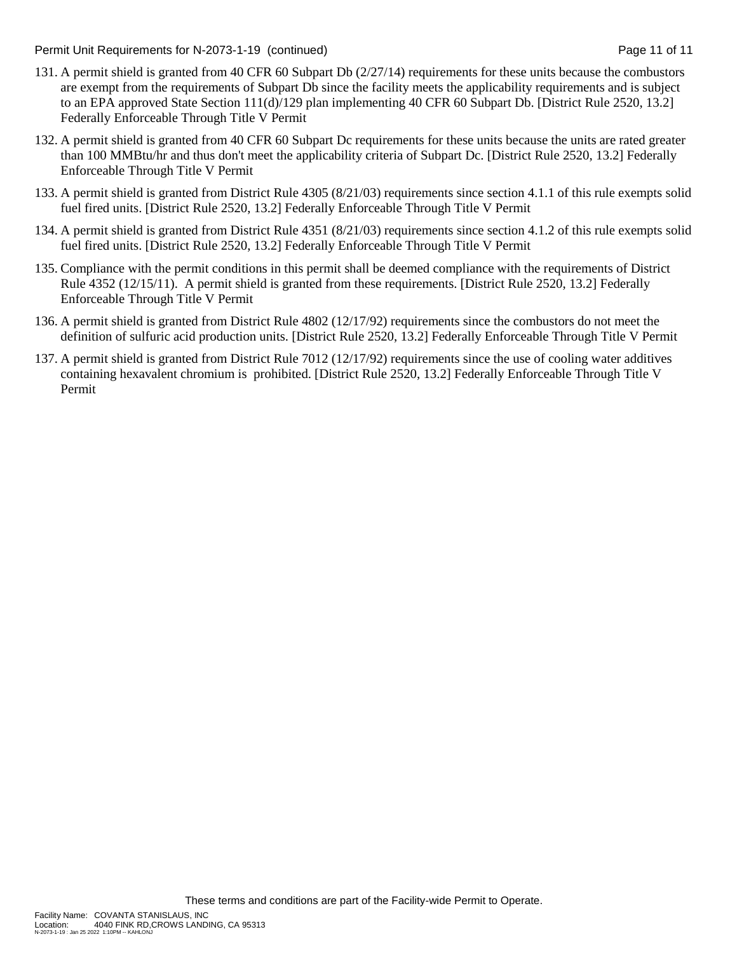Permit Unit Requirements for N-2073-1-19 (continued) example and the state of the Page 11 of 11 of 11

- 131. A permit shield is granted from 40 CFR 60 Subpart Db (2/27/14) requirements for these units because the combustors are exempt from the requirements of Subpart Db since the facility meets the applicability requirements and is subject to an EPA approved State Section 111(d)/129 plan implementing 40 CFR 60 Subpart Db. [District Rule 2520, 13.2] Federally Enforceable Through Title V Permit
- 132. A permit shield is granted from 40 CFR 60 Subpart Dc requirements for these units because the units are rated greater than 100 MMBtu/hr and thus don't meet the applicability criteria of Subpart Dc. [District Rule 2520, 13.2] Federally Enforceable Through Title V Permit
- 133. A permit shield is granted from District Rule 4305 (8/21/03) requirements since section 4.1.1 of this rule exempts solid fuel fired units. [District Rule 2520, 13.2] Federally Enforceable Through Title V Permit
- 134. A permit shield is granted from District Rule 4351 (8/21/03) requirements since section 4.1.2 of this rule exempts solid fuel fired units. [District Rule 2520, 13.2] Federally Enforceable Through Title V Permit
- 135. Compliance with the permit conditions in this permit shall be deemed compliance with the requirements of District Rule 4352 (12/15/11). A permit shield is granted from these requirements. [District Rule 2520, 13.2] Federally Enforceable Through Title V Permit
- 136. A permit shield is granted from District Rule 4802 (12/17/92) requirements since the combustors do not meet the definition of sulfuric acid production units. [District Rule 2520, 13.2] Federally Enforceable Through Title V Permit
- 137. A permit shield is granted from District Rule 7012 (12/17/92) requirements since the use of cooling water additives containing hexavalent chromium is prohibited. [District Rule 2520, 13.2] Federally Enforceable Through Title V Permit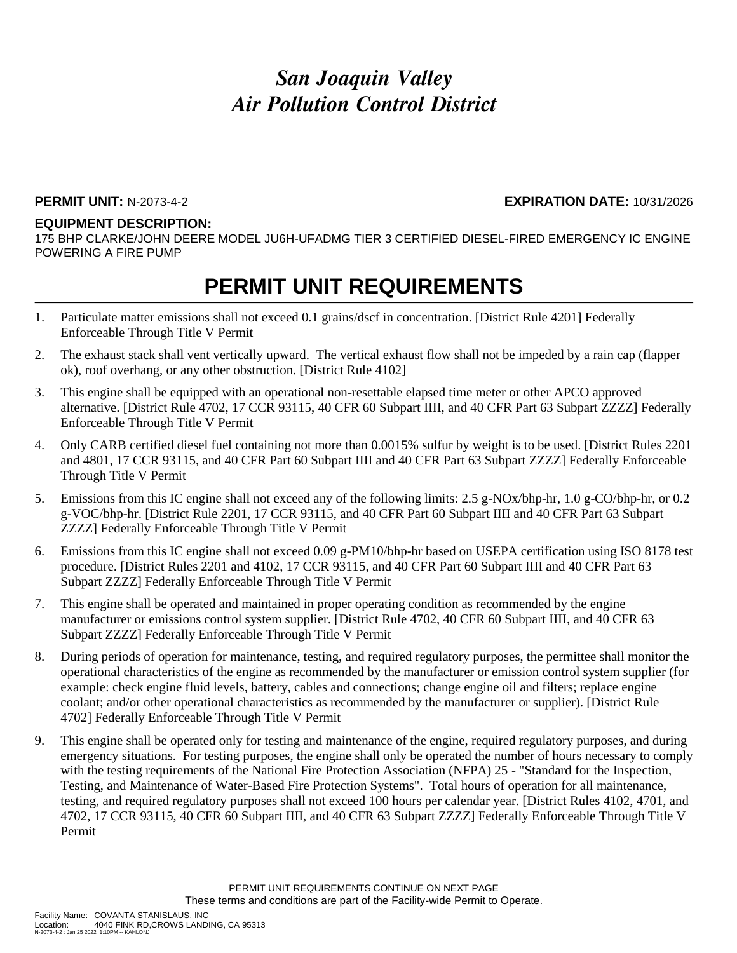## *San Joaquin Valley Air Pollution Control District*

### **PERMIT UNIT:** N-2073-4-2 **EXPIRATION DATE:** 10/31/2026

#### **EQUIPMENT DESCRIPTION:**

175 BHP CLARKE/JOHN DEERE MODEL JU6H-UFADMG TIER 3 CERTIFIED DIESEL-FIRED EMERGENCY IC ENGINE POWERING A FIRE PUMP

### **PERMIT UNIT REQUIREMENTS**

- 1. Particulate matter emissions shall not exceed 0.1 grains/dscf in concentration. [District Rule 4201] Federally Enforceable Through Title V Permit
- 2. The exhaust stack shall vent vertically upward. The vertical exhaust flow shall not be impeded by a rain cap (flapper ok), roof overhang, or any other obstruction. [District Rule 4102]
- 3. This engine shall be equipped with an operational non-resettable elapsed time meter or other APCO approved alternative. [District Rule 4702, 17 CCR 93115, 40 CFR 60 Subpart IIII, and 40 CFR Part 63 Subpart ZZZZ] Federally Enforceable Through Title V Permit
- 4. Only CARB certified diesel fuel containing not more than 0.0015% sulfur by weight is to be used. [District Rules 2201 and 4801, 17 CCR 93115, and 40 CFR Part 60 Subpart IIII and 40 CFR Part 63 Subpart ZZZZ] Federally Enforceable Through Title V Permit
- 5. Emissions from this IC engine shall not exceed any of the following limits: 2.5 g-NOx/bhp-hr, 1.0 g-CO/bhp-hr, or 0.2 g-VOC/bhp-hr. [District Rule 2201, 17 CCR 93115, and 40 CFR Part 60 Subpart IIII and 40 CFR Part 63 Subpart ZZZZ] Federally Enforceable Through Title V Permit
- 6. Emissions from this IC engine shall not exceed 0.09 g-PM10/bhp-hr based on USEPA certification using ISO 8178 test procedure. [District Rules 2201 and 4102, 17 CCR 93115, and 40 CFR Part 60 Subpart IIII and 40 CFR Part 63 Subpart ZZZZ] Federally Enforceable Through Title V Permit
- 7. This engine shall be operated and maintained in proper operating condition as recommended by the engine manufacturer or emissions control system supplier. [District Rule 4702, 40 CFR 60 Subpart IIII, and 40 CFR 63 Subpart ZZZZ] Federally Enforceable Through Title V Permit
- 8. During periods of operation for maintenance, testing, and required regulatory purposes, the permittee shall monitor the operational characteristics of the engine as recommended by the manufacturer or emission control system supplier (for example: check engine fluid levels, battery, cables and connections; change engine oil and filters; replace engine coolant; and/or other operational characteristics as recommended by the manufacturer or supplier). [District Rule 4702] Federally Enforceable Through Title V Permit
- 9. This engine shall be operated only for testing and maintenance of the engine, required regulatory purposes, and during emergency situations. For testing purposes, the engine shall only be operated the number of hours necessary to comply with the testing requirements of the National Fire Protection Association (NFPA) 25 - "Standard for the Inspection, Testing, and Maintenance of Water-Based Fire Protection Systems". Total hours of operation for all maintenance, testing, and required regulatory purposes shall not exceed 100 hours per calendar year. [District Rules 4102, 4701, and 4702, 17 CCR 93115, 40 CFR 60 Subpart IIII, and 40 CFR 63 Subpart ZZZZ] Federally Enforceable Through Title V Permit